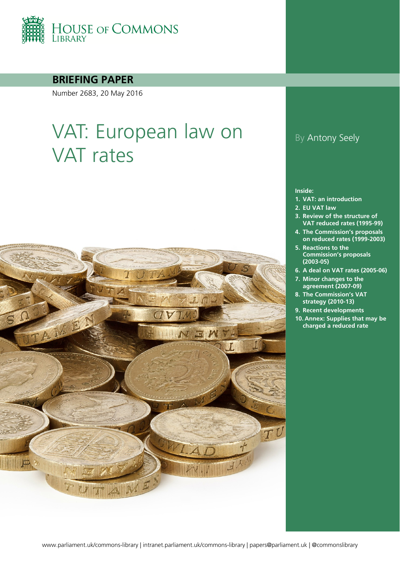

### **BRIEFING PAPER**

Number 2683, 20 May 2016

# VAT: European law on VAT rates



### By Antony Seely

#### **Inside:**

- **1. [VAT: an introduction](#page-3-0)**
- **2. [EU VAT law](#page-5-0)**
- **3. [Review of the structure of](#page-7-0)  [VAT reduced rates \(1995-99\)](#page-7-0)**
- **4. [The Commission's proposals](#page-9-0)  [on reduced rates \(1999-2003\)](#page-9-0)**
- **5. [Reactions to the](#page-12-0)  [Commission's proposals](#page-12-0)  [\(2003-05\)](#page-12-0)**
- **6. [A deal on VAT rates \(2005-06\)](#page-14-0)**
- **7. [Minor changes to the](#page-18-0)  [agreement \(2007-09\)](#page-18-0)**
- **8. [The Commission's VAT](#page-24-0)  [strategy \(2010-13\)](#page-24-0)**
- **9. [Recent developments](#page-32-0)**
- **10. [Annex: Supplies that may be](#page-37-0)  [charged a reduced rate](#page-37-0)**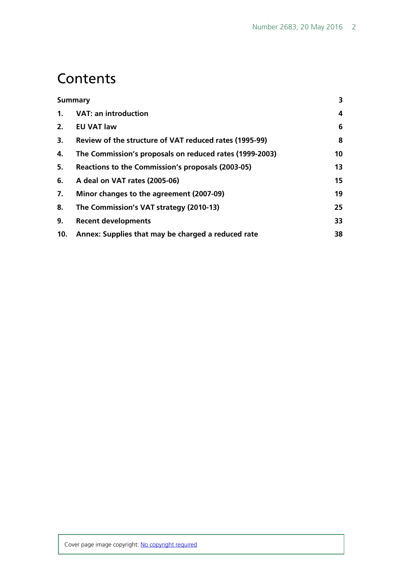### **Contents**

| <b>Summary</b> |                                                         | 3  |
|----------------|---------------------------------------------------------|----|
| 1.             | <b>VAT: an introduction</b>                             | 4  |
| 2.             | <b>EU VAT law</b>                                       | 6  |
| 3.             | Review of the structure of VAT reduced rates (1995-99)  | 8  |
| 4.             | The Commission's proposals on reduced rates (1999-2003) | 10 |
| 5.             | Reactions to the Commission's proposals (2003-05)       | 13 |
| 6.             | A deal on VAT rates (2005-06)                           | 15 |
| 7.             | Minor changes to the agreement (2007-09)                | 19 |
| 8.             | The Commission's VAT strategy (2010-13)                 | 25 |
| 9.             | <b>Recent developments</b>                              | 33 |
| 10.            | Annex: Supplies that may be charged a reduced rate      | 38 |
|                |                                                         |    |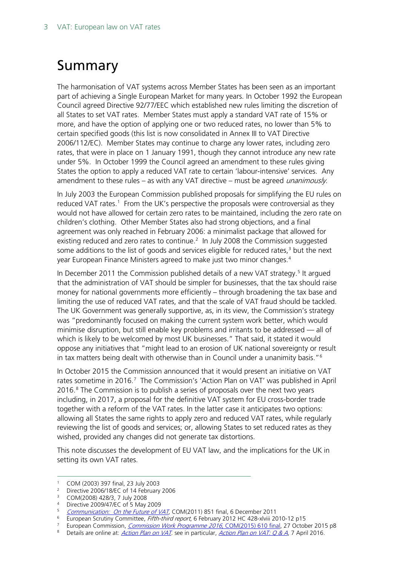# <span id="page-2-0"></span>Summary

The harmonisation of VAT systems across Member States has been seen as an important part of achieving a Single European Market for many years. In October 1992 the European Council agreed Directive 92/77/EEC which established new rules limiting the discretion of all States to set VAT rates. Member States must apply a standard VAT rate of 15% or more, and have the option of applying one or two reduced rates, no lower than 5% to certain specified goods (this list is now consolidated in Annex III to VAT Directive 2006/112/EC). Member States may continue to charge any lower rates, including zero rates, that were in place on 1 January 1991, though they cannot introduce any new rate under 5%. In October 1999 the Council agreed an amendment to these rules giving States the option to apply a reduced VAT rate to certain 'labour-intensive' services. Any amendment to these rules – as with any VAT directive – must be agreed *unanimously*.

In July 2003 the European Commission published proposals for simplifying the EU rules on reduced VAT rates.<sup>[1](#page-2-1)</sup> From the UK's perspective the proposals were controversial as they would not have allowed for certain zero rates to be maintained, including the zero rate on children's clothing. Other Member States also had strong objections, and a final agreement was only reached in February 2006: a minimalist package that allowed for existing reduced and zero rates to continue.<sup>2</sup> In July 2008 the Commission suggested some additions to the list of goods and services eligible for reduced rates,<sup>[3](#page-2-3)</sup> but the next year European Finance Ministers agreed to make just two minor changes. [4](#page-2-4)

In December 2011 the Commission published details of a new VAT strategy.<sup>[5](#page-2-5)</sup> It argued that the administration of VAT should be simpler for businesses, that the tax should raise money for national governments more efficiently – through broadening the tax base and limiting the use of reduced VAT rates, and that the scale of VAT fraud should be tackled. The UK Government was generally supportive, as, in its view, the Commission's strategy was "predominantly focused on making the current system work better, which would minimise disruption, but still enable key problems and irritants to be addressed — all of which is likely to be welcomed by most UK businesses." That said, it stated it would oppose any initiatives that "might lead to an erosion of UK national sovereignty or result in tax matters being dealt with otherwise than in Council under a unanimity basis."[6](#page-2-6)

In October 2015 the Commission announced that it would present an initiative on VAT rates sometime in 2016.<sup>[7](#page-2-7)</sup> The Commission's 'Action Plan on VAT' was published in April 2016.<sup>[8](#page-2-8)</sup> The Commission is to publish a series of proposals over the next two years including, in 2017, a proposal for the definitive VAT system for EU cross-border trade together with a reform of the VAT rates. In the latter case it anticipates two options: allowing all States the same rights to apply zero and reduced VAT rates, while regularly reviewing the list of goods and services; or, allowing States to set reduced rates as they wished, provided any changes did not generate tax distortions.

This note discusses the development of EU VAT law, and the implications for the UK in setting its own VAT rates.

 <sup>1</sup> COM (2003) 397 final, 23 July 2003

<span id="page-2-3"></span><span id="page-2-2"></span><span id="page-2-1"></span><sup>&</sup>lt;sup>2</sup> Directive 2006/18/EC of 14 February 2006

<sup>3</sup> COM(2008) 428/3, 7 July 2008

<span id="page-2-4"></span><sup>4</sup> Directive 2009/47/EC of 5 May 2009

<span id="page-2-5"></span>[Communication: On the Future of VAT](http://ec.europa.eu/taxation_customs/resources/documents/taxation/vat/key_documents/communications/com_2011_851_en.pdf), COM(2011) 851 final, 6 December 2011

<span id="page-2-6"></span><sup>&</sup>lt;sup>6</sup> European Scrutiny Committee, Fifth-third report, 6 February 2012 HC 428-xlviii 2010-12 p15

<span id="page-2-7"></span><sup>&</sup>lt;sup>7</sup> European Commission, *[Commission Work Programme 2016](http://ec.europa.eu/atwork/pdf/cwp_2016_en.pdf)*, COM(2015) 610 final, 27 October 2015 p8

<span id="page-2-8"></span><sup>8</sup> Details are online at: *[Action Plan on VAT](http://ec.europa.eu/taxation_customs/taxation/vat/action_plan/index_en.htm)*. see in particular, *[Action Plan on VAT: Q](http://europa.eu/rapid/press-release_MEMO-16-1024_en.htm) & A*, 7 April 2016.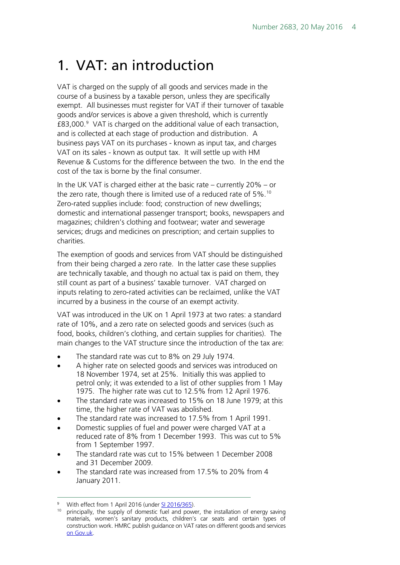# <span id="page-3-0"></span>1. VAT: an introduction

VAT is charged on the supply of all goods and services made in the course of a business by a taxable person, unless they are specifically exempt. All businesses must register for VAT if their turnover of taxable goods and/or services is above a given threshold, which is currently £83,000.[9](#page-3-1) VAT is charged on the additional value of each transaction, and is collected at each stage of production and distribution. A business pays VAT on its purchases - known as input tax, and charges VAT on its sales - known as output tax. It will settle up with HM Revenue & Customs for the difference between the two. In the end the cost of the tax is borne by the final consumer.

In the UK VAT is charged either at the basic rate – currently 20% – or the zero rate, though there is limited use of a reduced rate of 5%.<sup>10</sup> Zero-rated supplies include: food; construction of new dwellings; domestic and international passenger transport; books, newspapers and magazines; children's clothing and footwear; water and sewerage services; drugs and medicines on prescription; and certain supplies to charities.

The exemption of goods and services from VAT should be distinguished from their being charged a zero rate. In the latter case these supplies are technically taxable, and though no actual tax is paid on them, they still count as part of a business' taxable turnover. VAT charged on inputs relating to zero-rated activities can be reclaimed, unlike the VAT incurred by a business in the course of an exempt activity.

VAT was introduced in the UK on 1 April 1973 at two rates: a standard rate of 10%, and a zero rate on selected goods and services (such as food, books, children's clothing, and certain supplies for charities). The main changes to the VAT structure since the introduction of the tax are:

- The standard rate was cut to 8% on 29 July 1974.
- A higher rate on selected goods and services was introduced on 18 November 1974, set at 25%. Initially this was applied to petrol only; it was extended to a list of other supplies from 1 May 1975. The higher rate was cut to 12.5% from 12 April 1976.
- The standard rate was increased to 15% on 18 June 1979; at this time, the higher rate of VAT was abolished.
- The standard rate was increased to 17.5% from 1 April 1991.
- Domestic supplies of fuel and power were charged VAT at a reduced rate of 8% from 1 December 1993. This was cut to 5% from 1 September 1997.
- The standard rate was cut to 15% between 1 December 2008 and 31 December 2009.
- The standard rate was increased from 17.5% to 20% from 4 January 2011.

<span id="page-3-2"></span><span id="page-3-1"></span>With effect from 1 April 2016 (under [SI 2016/365\).](http://www.legislation.gov.uk/uksi/2016/365/contents/made)

<sup>&</sup>lt;sup>10</sup> principally, the supply of domestic fuel and power, the installation of energy saving materials, women's sanitary products, children's car seats and certain types of construction work. HMRC publish guidance on VAT rates on different goods and services [on Gov.uk.](https://www.gov.uk/guidance/rates-of-vat-on-different-goods-and-services)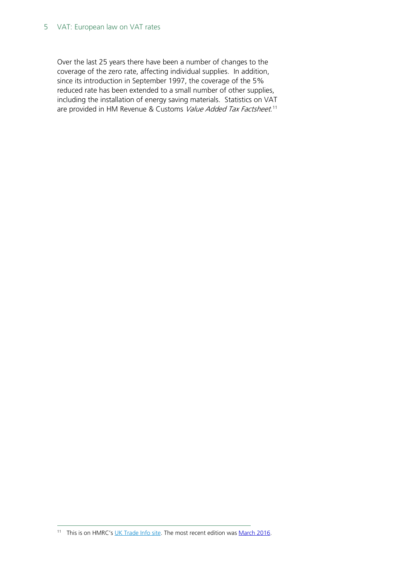#### 5 VAT: European law on VAT rates

Over the last 25 years there have been a number of changes to the coverage of the zero rate, affecting individual supplies. In addition, since its introduction in September 1997, the coverage of the 5% reduced rate has been extended to a small number of other supplies, including the installation of energy saving materials. Statistics on VAT are provided in HM Revenue & Customs *Value Added Tax Factsheet*.<sup>[11](#page-4-0)</sup>

<span id="page-4-0"></span><sup>11</sup> This is on HMRC's [UK Trade Info site.](https://www.uktradeinfo.com/Statistics/Pages/TaxAndDutybulletins.aspx) The most recent edition was [March](https://www.uktradeinfo.com/Statistics/Tax%20and%20Duty%20Bulletins/VAT0316.xls) 2016.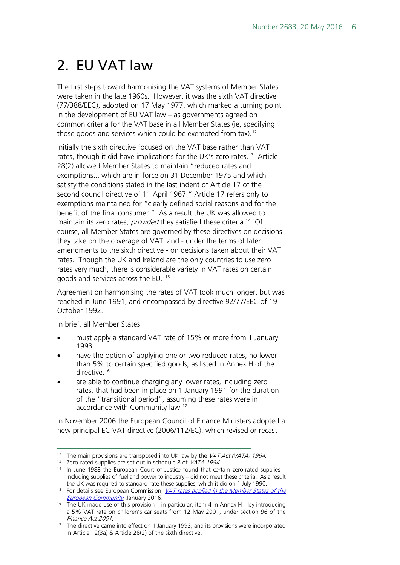# <span id="page-5-0"></span>2. EU VAT law

The first steps toward harmonising the VAT systems of Member States were taken in the late 1960s. However, it was the sixth VAT directive (77/388/EEC), adopted on 17 May 1977, which marked a turning point in the development of EU VAT law – as governments agreed on common criteria for the VAT base in all Member States (ie, specifying those goods and services which could be exempted from tax).<sup>12</sup>

Initially the sixth directive focused on the VAT base rather than VAT rates, though it did have implications for the UK's zero rates.<sup>13</sup> Article 28(2) allowed Member States to maintain "reduced rates and exemptions... which are in force on 31 December 1975 and which satisfy the conditions stated in the last indent of Article 17 of the second council directive of 11 April 1967." Article 17 refers only to exemptions maintained for "clearly defined social reasons and for the benefit of the final consumer." As a result the UK was allowed to maintain its zero rates, provided they satisfied these criteria.<sup>[14](#page-5-3)</sup> Of course, all Member States are governed by these directives on decisions they take on the coverage of VAT, and - under the terms of later amendments to the sixth directive - on decisions taken about their VAT rates. Though the UK and Ireland are the only countries to use zero rates very much, there is considerable variety in VAT rates on certain goods and services across the EU. [15](#page-5-4)

Agreement on harmonising the rates of VAT took much longer, but was reached in June 1991, and encompassed by directive 92/77/EEC of 19 October 1992.

In brief, all Member States:

- must apply a standard VAT rate of 15% or more from 1 January 1993.
- have the option of applying one or two reduced rates, no lower than 5% to certain specified goods, as listed in Annex H of the directive.<sup>[16](#page-5-5)</sup>
- are able to continue charging any lower rates, including zero rates, that had been in place on 1 January 1991 for the duration of the "transitional period", assuming these rates were in accordance with Community law.[17](#page-5-6)

In November 2006 the European Council of Finance Ministers adopted a new principal EC VAT directive (2006/112/EC), which revised or recast

<span id="page-5-2"></span><span id="page-5-1"></span><sup>&</sup>lt;sup>12</sup> The main provisions are transposed into UK law by the *VAT Act (VATA) 1994*.<br><sup>13</sup> Zero-rated supplies are set out in schedule 8 of *VATA 1994*.

<span id="page-5-3"></span> $14$  In June 1988 the European Court of Justice found that certain zero-rated supplies – including supplies of fuel and power to industry – did not meet these criteria. As a result the UK was required to standard-rate these supplies, which it did on 1 July 1990.

<span id="page-5-4"></span><sup>&</sup>lt;sup>15</sup> For details see European Commission, *VAT rates applied in the Member States of the* **[European Community](http://ec.europa.eu/taxation_customs/resources/documents/taxation/vat/how_vat_works/rates/vat_rates_en.pdf)**, January 2016.

<span id="page-5-5"></span><sup>16</sup> The UK made use of this provision – in particular, item 4 in Annex H – by introducing a 5% VAT rate on children's car seats from 12 May 2001, under section 96 of the Finance Act 2001.

<span id="page-5-6"></span><sup>&</sup>lt;sup>17</sup> The directive came into effect on 1 January 1993, and its provisions were incorporated in Article 12(3a) & Article 28(2) of the sixth directive.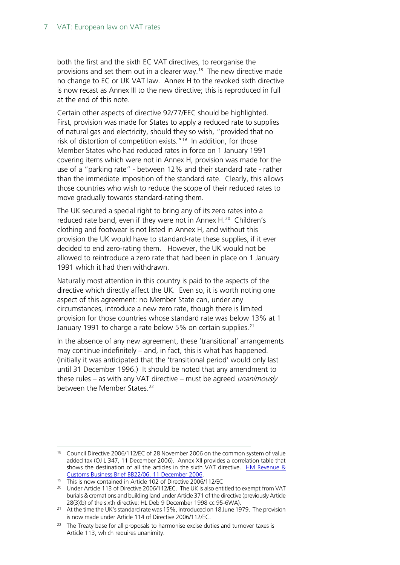both the first and the sixth EC VAT directives, to reorganise the provisions and set them out in a clearer way.<sup>18</sup> The new directive made no change to EC or UK VAT law. Annex H to the revoked sixth directive is now recast as Annex III to the new directive; this is reproduced in full at the end of this note.

Certain other aspects of directive 92/77/EEC should be highlighted. First, provision was made for States to apply a reduced rate to supplies of natural gas and electricity, should they so wish, "provided that no risk of distortion of competition exists."<sup>19</sup> In addition, for those Member States who had reduced rates in force on 1 January 1991 covering items which were not in Annex H, provision was made for the use of a "parking rate" - between 12% and their standard rate - rather than the immediate imposition of the standard rate. Clearly, this allows those countries who wish to reduce the scope of their reduced rates to move gradually towards standard-rating them.

The UK secured a special right to bring any of its zero rates into a reduced rate band, even if they were not in Annex H.<sup>20</sup> Children's clothing and footwear is not listed in Annex H, and without this provision the UK would have to standard-rate these supplies, if it ever decided to end zero-rating them. However, the UK would not be allowed to reintroduce a zero rate that had been in place on 1 January 1991 which it had then withdrawn.

Naturally most attention in this country is paid to the aspects of the directive which directly affect the UK. Even so, it is worth noting one aspect of this agreement: no Member State can, under any circumstances, introduce a new zero rate, though there is limited provision for those countries whose standard rate was below 13% at 1 January 1991 to charge a rate below 5% on certain supplies.<sup>[21](#page-6-3)</sup>

In the absence of any new agreement, these 'transitional' arrangements may continue indefinitely – and, in fact, this is what has happened. (Initially it was anticipated that the 'transitional period' would only last until 31 December 1996.) It should be noted that any amendment to these rules – as with any VAT directive – must be agreed *unanimously* between the Member States.<sup>[22](#page-6-4)</sup>

<span id="page-6-0"></span><sup>&</sup>lt;sup>18</sup> Council Directive 2006/112/EC of 28 November 2006 on the common system of value added tax (OJ L 347, 11 December 2006). Annex XII provides a correlation table that shows the destination of all the articles in the sixth VAT directive. HM Revenue & [Customs Business Brief BB22/06, 11 December 2006.](http://webarchive.nationalarchives.gov.uk/20091222074811/http:/customs.hmrc.gov.uk/channelsPortalWebApp/channelsPortalWebApp.portal?_nfpb=true&_pageLabel=pageLibrary_GuidesAndBusinessBriefs&propertyType=document&columns=1&id=HMCE_PROD1_026450)

<sup>19</sup> This is now contained in Article 102 of Directive 2006/112/EC

<span id="page-6-2"></span><span id="page-6-1"></span><sup>&</sup>lt;sup>20</sup> Under Article 113 of Directive 2006/112/EC. The UK is also entitled to exempt from VAT burials & cremations and building land under Article 371 of the directive (previously Article 28(3)(b) of the sixth directive: HL Deb 9 December 1998 cc 95-6WA).

<span id="page-6-3"></span><sup>&</sup>lt;sup>21</sup> At the time the UK's standard rate was 15%, introduced on 18 June 1979. The provision is now made under Article 114 of Directive 2006/112/EC.

<span id="page-6-4"></span><sup>&</sup>lt;sup>22</sup> The Treaty base for all proposals to harmonise excise duties and turnover taxes is Article 113, which requires unanimity.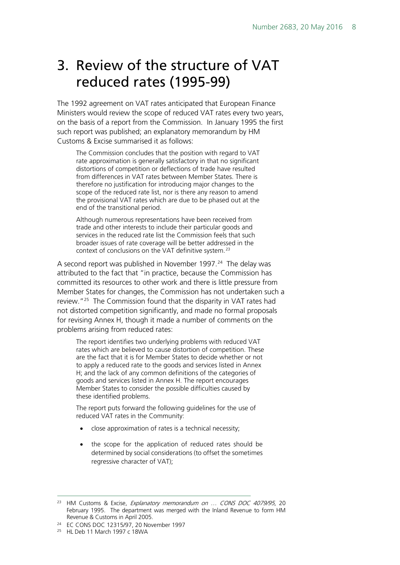### <span id="page-7-0"></span>3. Review of the structure of VAT reduced rates (1995-99)

The 1992 agreement on VAT rates anticipated that European Finance Ministers would review the scope of reduced VAT rates every two years, on the basis of a report from the Commission. In January 1995 the first such report was published; an explanatory memorandum by HM Customs & Excise summarised it as follows:

The Commission concludes that the position with regard to VAT rate approximation is generally satisfactory in that no significant distortions of competition or deflections of trade have resulted from differences in VAT rates between Member States. There is therefore no justification for introducing major changes to the scope of the reduced rate list, nor is there any reason to amend the provisional VAT rates which are due to be phased out at the end of the transitional period.

Although numerous representations have been received from trade and other interests to include their particular goods and services in the reduced rate list the Commission feels that such broader issues of rate coverage will be better addressed in the context of conclusions on the VAT definitive system.[23](#page-7-1)

A second report was published in November 1997.<sup>[24](#page-7-2)</sup> The delay was attributed to the fact that "in practice, because the Commission has committed its resources to other work and there is little pressure from Member States for changes, the Commission has not undertaken such a review."[25](#page-7-3) The Commission found that the disparity in VAT rates had not distorted competition significantly, and made no formal proposals for revising Annex H, though it made a number of comments on the problems arising from reduced rates:

The report identifies two underlying problems with reduced VAT rates which are believed to cause distortion of competition. These are the fact that it is for Member States to decide whether or not to apply a reduced rate to the goods and services listed in Annex H; and the lack of any common definitions of the categories of goods and services listed in Annex H. The report encourages Member States to consider the possible difficulties caused by these identified problems.

The report puts forward the following guidelines for the use of reduced VAT rates in the Community:

- close approximation of rates is a technical necessity;
- the scope for the application of reduced rates should be determined by social considerations (to offset the sometimes regressive character of VAT);

<span id="page-7-1"></span><sup>&</sup>lt;sup>23</sup> HM Customs & Excise, Explanatory memorandum on ... CONS DOC 4079/95, 20 February 1995. The department was merged with the Inland Revenue to form HM Revenue & Customs in April 2005.

<span id="page-7-2"></span><sup>24</sup> EC CONS DOC 12315/97, 20 November 1997

<span id="page-7-3"></span><sup>25</sup> HL Deb 11 March 1997 c 18WA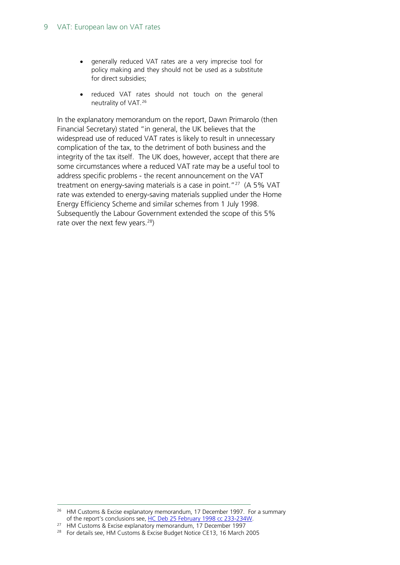- generally reduced VAT rates are a very imprecise tool for policy making and they should not be used as a substitute for direct subsidies;
- reduced VAT rates should not touch on the general neutrality of VAT.[26](#page-8-0)

In the explanatory memorandum on the report, Dawn Primarolo (then Financial Secretary) stated "in general, the UK believes that the widespread use of reduced VAT rates is likely to result in unnecessary complication of the tax, to the detriment of both business and the integrity of the tax itself. The UK does, however, accept that there are some circumstances where a reduced VAT rate may be a useful tool to address specific problems - the recent announcement on the VAT treatment on energy-saving materials is a case in point." $27$  (A 5% VAT rate was extended to energy-saving materials supplied under the Home Energy Efficiency Scheme and similar schemes from 1 July 1998. Subsequently the Labour Government extended the scope of this 5% rate over the next few years.<sup>28</sup>)

<span id="page-8-0"></span><sup>&</sup>lt;sup>26</sup> HM Customs & Excise explanatory memorandum, 17 December 1997. For a summary of the report's conclusions see[, HC Deb 25 February 1998 cc 233-234W.](http://www.publications.parliament.uk/pa/cm199798/cmhansrd/vo980225/text/80225w05.htm#80225w05.html_sbhd3)

<span id="page-8-1"></span><sup>&</sup>lt;sup>27</sup> HM Customs & Excise explanatory memorandum, 17 December 1997

<span id="page-8-2"></span><sup>&</sup>lt;sup>28</sup> For details see, HM Customs & Excise Budget Notice CE13, 16 March 2005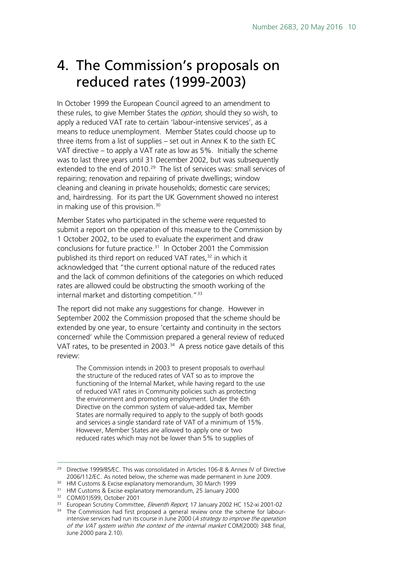### <span id="page-9-0"></span>4. The Commission's proposals on reduced rates (1999-2003)

In October 1999 the European Council agreed to an amendment to these rules, to give Member States the option, should they so wish, to apply a reduced VAT rate to certain 'labour-intensive services', as a means to reduce unemployment. Member States could choose up to three items from a list of supplies – set out in Annex K to the sixth EC VAT directive – to apply a VAT rate as low as 5%. Initially the scheme was to last three years until 31 December 2002, but was subsequently extended to the end of 2010.<sup>29</sup> The list of services was: small services of repairing; renovation and repairing of private dwellings; window cleaning and cleaning in private households; domestic care services; and, hairdressing. For its part the UK Government showed no interest in making use of this provision.<sup>[30](#page-9-2)</sup>

Member States who participated in the scheme were requested to submit a report on the operation of this measure to the Commission by 1 October 2002, to be used to evaluate the experiment and draw conclusions for future practice.<sup>31</sup> In October 2001 the Commission published its third report on reduced VAT rates,<sup>[32](#page-9-4)</sup> in which it acknowledged that "the current optional nature of the reduced rates and the lack of common definitions of the categories on which reduced rates are allowed could be obstructing the smooth working of the internal market and distorting competition."[33](#page-9-5)

The report did not make any suggestions for change. However in September 2002 the Commission proposed that the scheme should be extended by one year, to ensure 'certainty and continuity in the sectors concerned' while the Commission prepared a general review of reduced VAT rates, to be presented in 2003. $34$  A press notice gave details of this review:

The Commission intends in 2003 to present proposals to overhaul the structure of the reduced rates of VAT so as to improve the functioning of the Internal Market, while having regard to the use of reduced VAT rates in Community policies such as protecting the environment and promoting employment. Under the 6th Directive on the common system of value-added tax, Member States are normally required to apply to the supply of both goods and services a single standard rate of VAT of a minimum of 15%. However, Member States are allowed to apply one or two reduced rates which may not be lower than 5% to supplies of

- <span id="page-9-3"></span><span id="page-9-2"></span>
- <sup>31</sup> HM Customs & Excise explanatory memorandum, 25 January 2000
- <sup>32</sup> COM(01)599, October 2001

<span id="page-9-1"></span><sup>&</sup>lt;sup>29</sup> Directive 1999/85/EC. This was consolidated in Articles 106-8 & Annex IV of Directive 2006/112/EC. As noted below, the scheme was made permanent in June 2009. 30 HM Customs & Excise explanatory memorandum, 30 March 1999

<span id="page-9-6"></span><span id="page-9-5"></span><span id="page-9-4"></span><sup>&</sup>lt;sup>33</sup> European Scrutiny Committee, *Eleventh Report*, 17 January 2002 HC 152-xi 2001-02 <sup>34</sup> The Commission had first proposed a general review once the scheme for labourintensive services had run its course in June 2000 (A strategy to improve the operation of the VAT system within the context of the internal market COM(2000) 348 final, June 2000 para 2.10).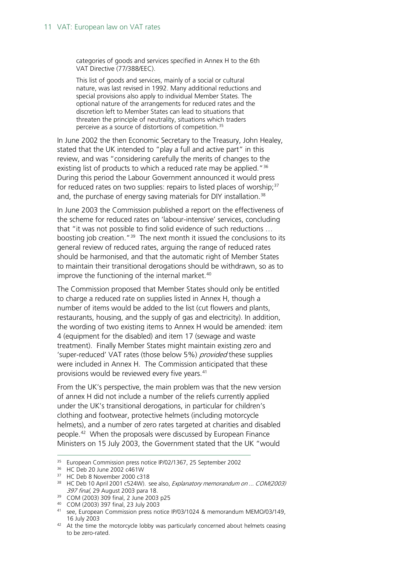categories of goods and services specified in Annex H to the 6th VAT Directive (77/388/EEC).

This list of goods and services, mainly of a social or cultural nature, was last revised in 1992. Many additional reductions and special provisions also apply to individual Member States. The optional nature of the arrangements for reduced rates and the discretion left to Member States can lead to situations that threaten the principle of neutrality, situations which traders perceive as a source of distortions of competition.<sup>35</sup>

In June 2002 the then Economic Secretary to the Treasury, John Healey, stated that the UK intended to "play a full and active part" in this review, and was "considering carefully the merits of changes to the existing list of products to which a reduced rate may be applied."<sup>[36](#page-10-1)</sup> During this period the Labour Government announced it would press for reduced rates on two supplies: repairs to listed places of worship;<sup>[37](#page-10-2)</sup> and, the purchase of energy saving materials for DIY installation.<sup>[38](#page-10-3)</sup>

In June 2003 the Commission published a report on the effectiveness of the scheme for reduced rates on 'labour-intensive' services, concluding that "it was not possible to find solid evidence of such reductions … boosting job creation.["39](#page-10-4) The next month it issued the conclusions to its general review of reduced rates, arguing the range of reduced rates should be harmonised, and that the automatic right of Member States to maintain their transitional derogations should be withdrawn, so as to improve the functioning of the internal market.<sup>40</sup>

The Commission proposed that Member States should only be entitled to charge a reduced rate on supplies listed in Annex H, though a number of items would be added to the list (cut flowers and plants, restaurants, housing, and the supply of gas and electricity). In addition, the wording of two existing items to Annex H would be amended: item 4 (equipment for the disabled) and item 17 (sewage and waste treatment). Finally Member States might maintain existing zero and 'super-reduced' VAT rates (those below 5%) provided these supplies were included in Annex H. The Commission anticipated that these provisions would be reviewed every five years.<sup>[41](#page-10-6)</sup>

From the UK's perspective, the main problem was that the new version of annex H did not include a number of the reliefs currently applied under the UK's transitional derogations, in particular for children's clothing and footwear, protective helmets (including motorcycle helmets), and a number of zero rates targeted at charities and disabled people.[42](#page-10-7) When the proposals were discussed by European Finance Ministers on 15 July 2003, the Government stated that the UK "would

<span id="page-10-0"></span> <sup>35</sup> European Commission press notice IP/02/1367, 25 September 2002

<span id="page-10-1"></span> $36$  HC Deb 20 June 2002 c461W<br> $37$  HC Deb 8 November 2000 c318

<span id="page-10-3"></span><span id="page-10-2"></span><sup>&</sup>lt;sup>38</sup> HC Deb 10 April 2001 c524W). see also, Explanatory memorandum on ... COM(2003) 397 final, 29 August 2003 para 18.

<sup>39</sup> COM (2003) 309 final, 2 June 2003 p25

<span id="page-10-5"></span><span id="page-10-4"></span><sup>40</sup> COM (2003) 397 final, 23 July 2003

<span id="page-10-6"></span><sup>41</sup> see, European Commission press notice IP/03/1024 & memorandum MEMO/03/149, 16 July 2003

<span id="page-10-7"></span><sup>&</sup>lt;sup>42</sup> At the time the motorcycle lobby was particularly concerned about helmets ceasing to be zero-rated.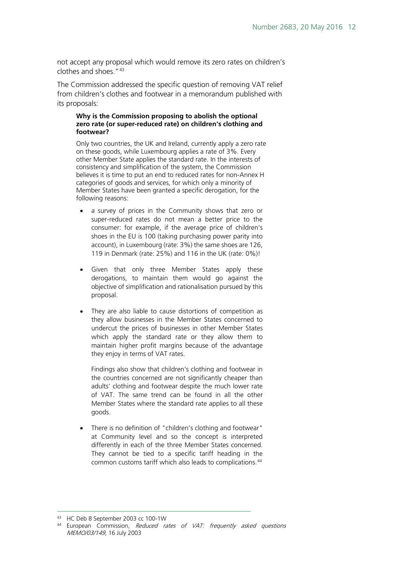not accept any proposal which would remove its zero rates on children's clothes and shoes."[43](#page-11-0)

The Commission addressed the specific question of removing VAT relief from children's clothes and footwear in a memorandum published with its proposals:

#### **Why is the Commission proposing to abolish the optional zero rate (or super-reduced rate) on children's clothing and footwear?**

Only two countries, the UK and Ireland, currently apply a zero rate on these goods, while Luxembourg applies a rate of 3%. Every other Member State applies the standard rate. In the interests of consistency and simplification of the system, the Commission believes it is time to put an end to reduced rates for non-Annex H categories of goods and services, for which only a minority of Member States have been granted a specific derogation, for the following reasons:

- a survey of prices in the Community shows that zero or super-reduced rates do not mean a better price to the consumer: for example, if the average price of children's shoes in the EU is 100 (taking purchasing power parity into account), in Luxembourg (rate: 3%) the same shoes are 126, 119 in Denmark (rate: 25%) and 116 in the UK (rate: 0%)!
- Given that only three Member States apply these derogations, to maintain them would go against the objective of simplification and rationalisation pursued by this proposal.
- They are also liable to cause distortions of competition as they allow businesses in the Member States concerned to undercut the prices of businesses in other Member States which apply the standard rate or they allow them to maintain higher profit margins because of the advantage they enjoy in terms of VAT rates.

Findings also show that children's clothing and footwear in the countries concerned are not significantly cheaper than adults' clothing and footwear despite the much lower rate of VAT. The same trend can be found in all the other Member States where the standard rate applies to all these goods.

There is no definition of "children's clothing and footwear" at Community level and so the concept is interpreted differently in each of the three Member States concerned. They cannot be tied to a specific tariff heading in the common customs tariff which also leads to complications.[44](#page-11-1)

<span id="page-11-0"></span>43 HC Deb 8 September 2003 cc 100-1W

<span id="page-11-1"></span><sup>&</sup>lt;sup>44</sup> European Commission, Reduced rates of VAT: frequently asked questions MEMO/03/149, 16 July 2003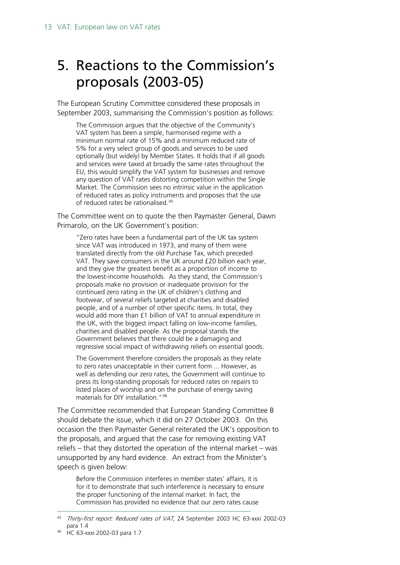### <span id="page-12-0"></span>5. Reactions to the Commission's proposals (2003-05)

The European Scrutiny Committee considered these proposals in September 2003, summarising the Commission's position as follows:

The Commission argues that the objective of the Community's VAT system has been a simple, harmonised regime with a minimum normal rate of 15% and a minimum reduced rate of 5% for a very select group of goods and services to be used optionally (but widely) by Member States. It holds that if all goods and services were taxed at broadly the same rates throughout the EU, this would simplify the VAT system for businesses and remove any question of VAT rates distorting competition within the Single Market. The Commission sees no intrinsic value in the application of reduced rates as policy instruments and proposes that the use of reduced rates be rationalised.[45](#page-12-1)

The Committee went on to quote the then Paymaster General, Dawn Primarolo, on the UK Government's position:

"Zero rates have been a fundamental part of the UK tax system since VAT was introduced in 1973, and many of them were translated directly from the old Purchase Tax, which preceded VAT. They save consumers in the UK around £20 billion each year, and they give the greatest benefit as a proportion of income to the lowest-income households. As they stand, the Commission's proposals make no provision or inadequate provision for the continued zero rating in the UK of children's clothing and footwear, of several reliefs targeted at charities and disabled people, and of a number of other specific items. In total, they would add more than £1 billion of VAT to annual expenditure in the UK, with the biggest impact falling on low-income families, charities and disabled people. As the proposal stands the Government believes that there could be a damaging and regressive social impact of withdrawing reliefs on essential goods.

The Government therefore considers the proposals as they relate to zero rates unacceptable in their current form ... However, as well as defending our zero rates, the Government will continue to press its long-standing proposals for reduced rates on repairs to listed places of worship and on the purchase of energy saving materials for DIY installation."[46](#page-12-2)

The Committee recommended that European Standing Committee B should debate the issue, which it did on 27 October 2003. On this occasion the then Paymaster General reiterated the UK's opposition to the proposals, and argued that the case for removing existing VAT reliefs – that they distorted the operation of the internal market – was unsupported by any hard evidence. An extract from the Minister's speech is given below:

Before the Commission interferes in member states' affairs, it is for it to demonstrate that such interference is necessary to ensure the proper functioning of the internal market. In fact, the Commission has provided no evidence that our zero rates cause

<span id="page-12-2"></span><span id="page-12-1"></span><sup>45</sup> Thirty-first report: Reduced rates of VAT, 24 September 2003 HC 63-xxxi 2002-03 para 1.4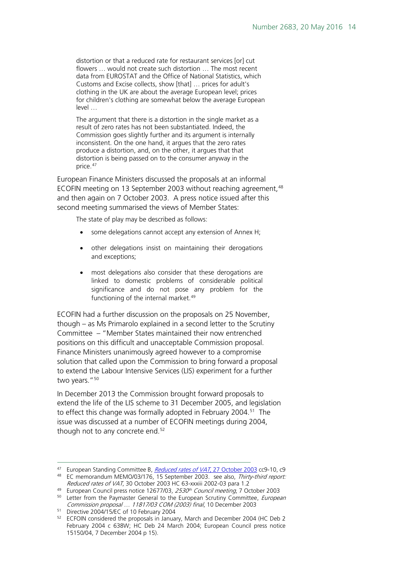distortion or that a reduced rate for restaurant services [or] cut flowers … would not create such distortion … The most recent data from EUROSTAT and the Office of National Statistics, which Customs and Excise collects, show [that] … prices for adult's clothing in the UK are about the average European level; prices for children's clothing are somewhat below the average European level …

The argument that there is a distortion in the single market as a result of zero rates has not been substantiated. Indeed, the Commission goes slightly further and its argument is internally inconsistent. On the one hand, it argues that the zero rates produce a distortion, and, on the other, it argues that that distortion is being passed on to the consumer anyway in the price.<sup>[47](#page-13-0)</sup>

European Finance Ministers discussed the proposals at an informal ECOFIN meeting on 13 September 2003 without reaching agreement, <sup>[48](#page-13-1)</sup> and then again on 7 October 2003. A press notice issued after this second meeting summarised the views of Member States:

The state of play may be described as follows:

- some delegations cannot accept any extension of Annex H;
- other delegations insist on maintaining their derogations and exceptions;
- most delegations also consider that these derogations are linked to domestic problems of considerable political significance and do not pose any problem for the functioning of the internal market.<sup>49</sup>

ECOFIN had a further discussion on the proposals on 25 November, though – as Ms Primarolo explained in a second letter to the Scrutiny Committee – "Member States maintained their now entrenched positions on this difficult and unacceptable Commission proposal. Finance Ministers unanimously agreed however to a compromise solution that called upon the Commission to bring forward a proposal to extend the Labour Intensive Services (LIS) experiment for a further two years."<sup>[50](#page-13-3)</sup>

In December 2013 the Commission brought forward proposals to extend the life of the LIS scheme to 31 December 2005, and legislation to effect this change was formally adopted in February 2004.<sup>[51](#page-13-4)</sup> The issue was discussed at a number of ECOFIN meetings during 2004, though not to any concrete end.<sup>[52](#page-13-5)</sup>

<span id="page-13-1"></span><span id="page-13-0"></span><sup>47</sup> European Standing Committee B, Reduced rates of VAT[, 27 October 2003](http://www.publications.parliament.uk/pa/cm200203/cmstand/eurob/st031027/31027s01.htm) cc9-10, c9 <sup>48</sup> EC memorandum MEMO/03/176, 15 September 2003. see also, Thirty-third report:

<span id="page-13-2"></span>Reduced rates of VAT, 30 October 2003 HC 63-xxxiii 2002-03 para 1.2 <sup>49</sup> European Council press notice 12677/03, 2530<sup>th</sup> Council meeting, 7 October 2003

<span id="page-13-3"></span><sup>&</sup>lt;sup>50</sup> Letter from the Paymaster General to the European Scrutiny Committee, European Commission proposal … 11817/03 COM (2003) final, 10 December 2003

<span id="page-13-4"></span><sup>51</sup> Directive 2004/15/EC of 10 February 2004

<span id="page-13-5"></span> $52$  ECFOIN considered the proposals in January, March and December 2004 (HC Deb 2 February 2004 c 638W; HC Deb 24 March 2004; European Council press notice 15150/04, 7 December 2004 p 15).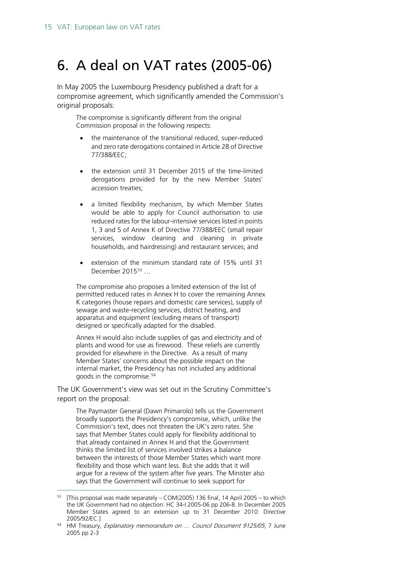### <span id="page-14-0"></span>6. A deal on VAT rates (2005-06)

In May 2005 the Luxembourg Presidency published a draft for a compromise agreement, which significantly amended the Commission's original proposals:

The compromise is significantly different from the original Commission proposal in the following respects:

- the maintenance of the transitional reduced, super-reduced and zero rate derogations contained in Article 28 of Directive 77/388/EEC;
- the extension until 31 December 2015 of the time-limited derogations provided for by the new Member States' accession treaties;
- a limited flexibility mechanism, by which Member States would be able to apply for Council authorisation to use reduced rates for the labour-intensive services listed in points 1, 3 and 5 of Annex K of Directive 77/388/EEC (small repair services, window cleaning and cleaning in private households, and hairdressing) and restaurant services; and
- extension of the minimum standard rate of 15% until 31 December 2015[53](#page-14-1) …

The compromise also proposes a limited extension of the list of permitted reduced rates in Annex H to cover the remaining Annex K categories (house repairs and domestic care services), supply of sewage and waste-recycling services, district heating, and apparatus and equipment (excluding means of transport) designed or specifically adapted for the disabled.

Annex H would also include supplies of gas and electricity and of plants and wood for use as firewood. These reliefs are currently provided for elsewhere in the Directive. As a result of many Member States' concerns about the possible impact on the internal market, the Presidency has not included any additional goods in the compromise.<sup>[54](#page-14-2)</sup>

The UK Government's view was set out in the Scrutiny Committee's report on the proposal:

The Paymaster General (Dawn Primarolo) tells us the Government broadly supports the Presidency's compromise, which, unlike the Commission's text, does not threaten the UK's zero rates. She says that Member States could apply for flexibility additional to that already contained in Annex H and that the Government thinks the limited list of services involved strikes a balance between the interests of those Member States which want more flexibility and those which want less. But she adds that it will argue for a review of the system after five years. The Minister also says that the Government will continue to seek support for

<span id="page-14-1"></span><sup>[</sup>This proposal was made separately – COM(2005) 136 final, 14 April 2005 – to which the UK Government had no objection: HC 34-I 2005-06 pp 206-8. In December 2005 Member States agreed to an extension up to 31 December 2010: Directive 2005/92/EC.]

<span id="page-14-2"></span><sup>54</sup> HM Treasury, Explanatory memorandum on ... Council Document 9125/05, 7 June 2005 pp 2-3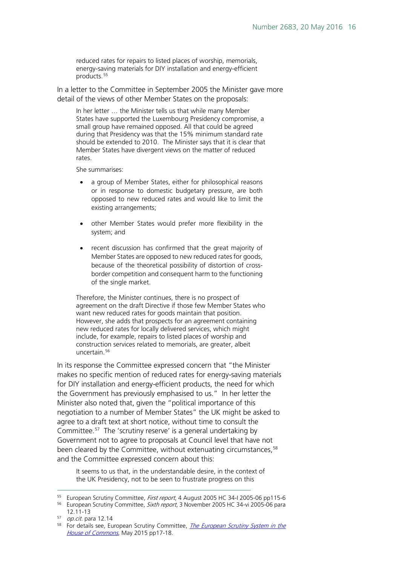reduced rates for repairs to listed places of worship, memorials, energy-saving materials for DIY installation and energy-efficient products.<sup>[55](#page-15-0)</sup>

In a letter to the Committee in September 2005 the Minister gave more detail of the views of other Member States on the proposals:

In her letter … the Minister tells us that while many Member States have supported the Luxembourg Presidency compromise, a small group have remained opposed. All that could be agreed during that Presidency was that the 15% minimum standard rate should be extended to 2010. The Minister says that it is clear that Member States have divergent views on the matter of reduced rates.

She summarises:

- a group of Member States, either for philosophical reasons or in response to domestic budgetary pressure, are both opposed to new reduced rates and would like to limit the existing arrangements;
- other Member States would prefer more flexibility in the system; and
- recent discussion has confirmed that the great majority of Member States are opposed to new reduced rates for goods, because of the theoretical possibility of distortion of crossborder competition and consequent harm to the functioning of the single market.

Therefore, the Minister continues, there is no prospect of agreement on the draft Directive if those few Member States who want new reduced rates for goods maintain that position. However, she adds that prospects for an agreement containing new reduced rates for locally delivered services, which might include, for example, repairs to listed places of worship and construction services related to memorials, are greater, albeit uncertain.<sup>[56](#page-15-1)</sup>

In its response the Committee expressed concern that "the Minister makes no specific mention of reduced rates for energy-saving materials for DIY installation and energy-efficient products, the need for which the Government has previously emphasised to us." In her letter the Minister also noted that, given the "political importance of this negotiation to a number of Member States" the UK might be asked to agree to a draft text at short notice, without time to consult the Committee.[57](#page-15-2) The 'scrutiny reserve' is a general undertaking by Government not to agree to proposals at Council level that have not been cleared by the Committee, without extenuating circumstances,<sup>[58](#page-15-3)</sup> and the Committee expressed concern about this:

It seems to us that, in the understandable desire, in the context of the UK Presidency, not to be seen to frustrate progress on this

<span id="page-15-0"></span><sup>&</sup>lt;sup>55</sup> European Scrutiny Committee, First report, 4 August 2005 HC 34-I 2005-06 pp115-6

<span id="page-15-1"></span><sup>&</sup>lt;sup>56</sup> European Scrutiny Committee, Sixth report, 3 November 2005 HC 34-vi 2005-06 para 12.11-13

<span id="page-15-2"></span><sup>57</sup> op.cit. para 12.14

<span id="page-15-3"></span><sup>&</sup>lt;sup>58</sup> For details see, European Scrutiny Committee, *The European Scrutiny System in the* [House of Commons](http://www.parliament.uk/documents/commons-committees/european-scrutiny/European-Scrutiny-Committee-Guide-May15.pdf), May 2015 pp17-18.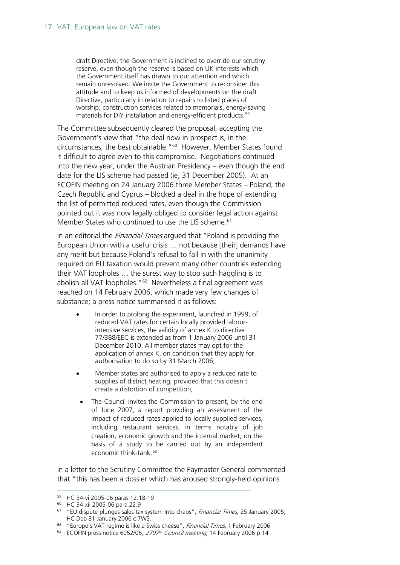draft Directive, the Government is inclined to override our scrutiny reserve, even though the reserve is based on UK interests which the Government itself has drawn to our attention and which remain unresolved. We invite the Government to reconsider this attitude and to keep us informed of developments on the draft Directive, particularly in relation to repairs to listed places of worship, construction services related to memorials, energy-saving materials for DIY installation and energy-efficient products.<sup>[59](#page-16-0)</sup>

The Committee subsequently cleared the proposal, accepting the Government's view that "the deal now in prospect is, in the circumstances, the best obtainable."<sup>60</sup> However, Member States found it difficult to agree even to this compromise. Negotiations continued into the new year, under the Austrian Presidency – even though the end date for the LIS scheme had passed (ie, 31 December 2005). At an ECOFIN meeting on 24 January 2006 three Member States – Poland, the Czech Republic and Cyprus – blocked a deal in the hope of extending the list of permitted reduced rates, even though the Commission pointed out it was now legally obliged to consider legal action against Member States who continued to use the LIS scheme.<sup>[61](#page-16-2)</sup>

In an editorial the *Financial Times* argued that "Poland is providing the European Union with a useful crisis … not because [their] demands have any merit but because Poland's refusal to fall in with the unanimity required on EU taxation would prevent many other countries extending their VAT loopholes … the surest way to stop such haggling is to abolish all VAT loopholes."<sup>[62](#page-16-3)</sup> Nevertheless a final agreement was reached on 14 February 2006, which made very few changes of substance; a press notice summarised it as follows:

- In order to prolong the experiment, launched in 1999, of reduced VAT rates for certain locally provided labourintensive services, the validity of annex K to directive 77/388/EEC is extended as from 1 January 2006 until 31 December 2010. All member states may opt for the application of annex K, on condition that they apply for authorisation to do so by 31 March 2006;
- Member states are authorised to apply a reduced rate to supplies of district heating, provided that this doesn't create a distortion of competition;
- The Council invites the Commission to present, by the end of June 2007, a report providing an assessment of the impact of reduced rates applied to locally supplied services, including restaurant services, in terms notably of job creation, economic growth and the internal market, on the basis of a study to be carried out by an independent economic think-tank.<sup>[63](#page-16-4)</sup>

In a letter to the Scrutiny Committee the Paymaster General commented that "this has been a dossier which has aroused strongly-held opinions

 <sup>59</sup> HC 34-vi 2005-06 paras 12.18-19

<span id="page-16-1"></span><span id="page-16-0"></span><sup>60</sup> HC 34-xii 2005-06 para 22.9

<span id="page-16-2"></span><sup>&</sup>lt;sup>61</sup> "EU dispute plunges sales tax system into chaos", Financial Times, 25 January 2005; HC Deb 31 January 2006 c 7WS.

<span id="page-16-3"></span><sup>&</sup>lt;sup>62</sup> "Europe's VAT regime is like a Swiss cheese", Financial Times, 1 February 2006

<span id="page-16-4"></span><sup>&</sup>lt;sup>63</sup> ECOFIN press notice 6052/06,  $2707<sup>th</sup>$  Council meeting, 14 February 2006 p 14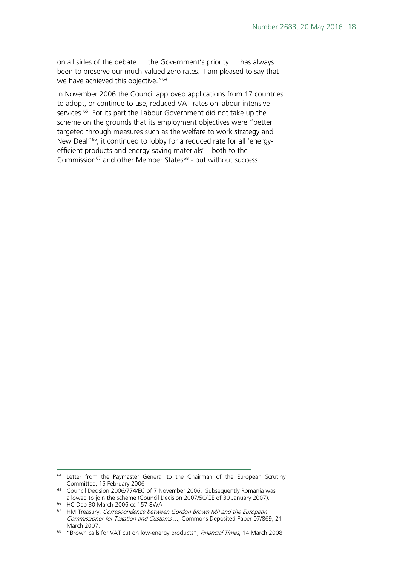on all sides of the debate … the Government's priority … has always been to preserve our much-valued zero rates. I am pleased to say that we have achieved this objective."<sup>[64](#page-17-0)</sup>

In November 2006 the Council approved applications from 17 countries to adopt, or continue to use, reduced VAT rates on labour intensive services.<sup>[65](#page-17-1)</sup> For its part the Labour Government did not take up the scheme on the grounds that its employment objectives were "better targeted through measures such as the welfare to work strategy and New Deal"<sup>[66](#page-17-2)</sup>; it continued to lobby for a reduced rate for all 'energyefficient products and energy-saving materials' – both to the Commission<sup>[67](#page-17-3)</sup> and other Member States<sup>[68](#page-17-4)</sup> - but without success.

<span id="page-17-0"></span><sup>&</sup>lt;sup>64</sup> Letter from the Paymaster General to the Chairman of the European Scrutiny Committee, 15 February 2006

<span id="page-17-1"></span><sup>&</sup>lt;sup>65</sup> Council Decision 2006/774/EC of 7 November 2006. Subsequently Romania was allowed to join the scheme (Council Decision 2007/50/CE of 30 January 2007). <sup>66</sup> HC Deb 30 March 2006 cc 157-8WA

<span id="page-17-3"></span><span id="page-17-2"></span><sup>&</sup>lt;sup>67</sup> HM Treasury, Correspondence between Gordon Brown MP and the European Commissioner for Taxation and Customs ..., Commons Deposited Paper 07/869, 21 March 2007.

<span id="page-17-4"></span><sup>&</sup>lt;sup>68</sup> "Brown calls for VAT cut on low-energy products", Financial Times, 14 March 2008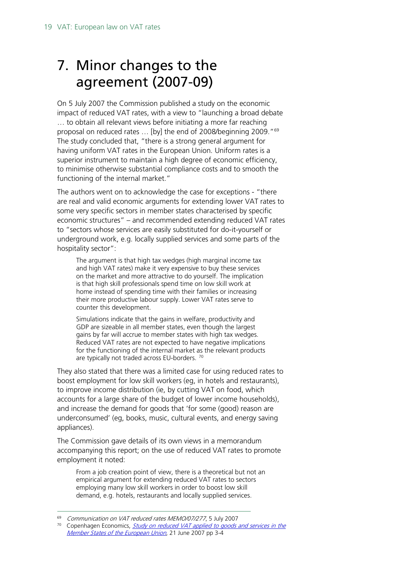# <span id="page-18-0"></span>7. Minor changes to the agreement (2007-09)

On 5 July 2007 the Commission published a study on the economic impact of reduced VAT rates, with a view to "launching a broad debate … to obtain all relevant views before initiating a more far reaching proposal on reduced rates ... [by] the end of 2008/beginning 2009."<sup>69</sup> The study concluded that, "there is a strong general argument for having uniform VAT rates in the European Union. Uniform rates is a superior instrument to maintain a high degree of economic efficiency, to minimise otherwise substantial compliance costs and to smooth the functioning of the internal market."

The authors went on to acknowledge the case for exceptions - "there are real and valid economic arguments for extending lower VAT rates to some very specific sectors in member states characterised by specific economic structures" – and recommended extending reduced VAT rates to "sectors whose services are easily substituted for do-it-yourself or underground work, e.g. locally supplied services and some parts of the hospitality sector":

The argument is that high tax wedges (high marginal income tax and high VAT rates) make it very expensive to buy these services on the market and more attractive to do yourself. The implication is that high skill professionals spend time on low skill work at home instead of spending time with their families or increasing their more productive labour supply. Lower VAT rates serve to counter this development.

Simulations indicate that the gains in welfare, productivity and GDP are sizeable in all member states, even though the largest gains by far will accrue to member states with high tax wedges. Reduced VAT rates are not expected to have negative implications for the functioning of the internal market as the relevant products are typically not traded across EU-borders.<sup>[70](#page-18-2)</sup>

They also stated that there was a limited case for using reduced rates to boost employment for low skill workers (eg, in hotels and restaurants), to improve income distribution (ie, by cutting VAT on food, which accounts for a large share of the budget of lower income households), and increase the demand for goods that 'for some (good) reason are underconsumed' (eg, books, music, cultural events, and energy saving appliances).

The Commission gave details of its own views in a memorandum accompanying this report; on the use of reduced VAT rates to promote employment it noted:

From a job creation point of view, there is a theoretical but not an empirical argument for extending reduced VAT rates to sectors employing many low skill workers in order to boost low skill demand, e.g. hotels, restaurants and locally supplied services.

<span id="page-18-1"></span> <sup>69</sup> Communication on VAT reduced rates MEMO/07/277, 5 July 2007

<span id="page-18-2"></span><sup>&</sup>lt;sup>70</sup> Copenhagen Economics, *Study on reduced VAT applied to goods and services in the* [Member States of the European Union](http://ec.europa.eu/taxation_customs/resources/documents/taxation/vat/how_vat_works/rates/study_reduced_vat.pdf), 21 June 2007 pp 3-4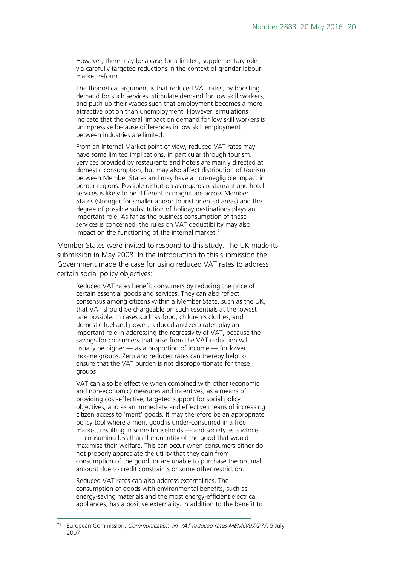However, there may be a case for a limited, supplementary role via carefully targeted reductions in the context of grander labour market reform.

The theoretical argument is that reduced VAT rates, by boosting demand for such services, stimulate demand for low skill workers, and push up their wages such that employment becomes a more attractive option than unemployment. However, simulations indicate that the overall impact on demand for low skill workers is unimpressive because differences in low skill employment between industries are limited.

From an Internal Market point of view, reduced VAT rates may have some limited implications, in particular through tourism. Services provided by restaurants and hotels are mainly directed at domestic consumption, but may also affect distribution of tourism between Member States and may have a non-negligible impact in border regions. Possible distortion as regards restaurant and hotel services is likely to be different in magnitude across Member States (stronger for smaller and/or tourist oriented areas) and the degree of possible substitution of holiday destinations plays an important role. As far as the business consumption of these services is concerned, the rules on VAT deductibility may also impact on the functioning of the internal market. $71$ 

Member States were invited to respond to this study. The UK made its submission in May 2008. In the introduction to this submission the Government made the case for using reduced VAT rates to address certain social policy objectives:

Reduced VAT rates benefit consumers by reducing the price of certain essential goods and services. They can also reflect consensus among citizens within a Member State, such as the UK, that VAT should be chargeable on such essentials at the lowest rate possible. In cases such as food, children's clothes, and domestic fuel and power, reduced and zero rates play an important role in addressing the regressivity of VAT, because the savings for consumers that arise from the VAT reduction will usually be higher — as a proportion of income — for lower income groups. Zero and reduced rates can thereby help to ensure that the VAT burden is not disproportionate for these groups.

VAT can also be effective when combined with other (economic and non-economic) measures and incentives, as a means of providing cost-effective, targeted support for social policy objectives, and as an immediate and effective means of increasing citizen access to 'merit' goods. It may therefore be an appropriate policy tool where a merit good is under-consumed in a free market, resulting in some households — and society as a whole — consuming less than the quantity of the good that would maximise their welfare. This can occur when consumers either do not properly appreciate the utility that they gain from consumption of the good, or are unable to purchase the optimal amount due to credit constraints or some other restriction.

Reduced VAT rates can also address externalities. The consumption of goods with environmental benefits, such as energy-saving materials and the most energy-efficient electrical appliances, has a positive externality. In addition to the benefit to

<span id="page-19-0"></span>European Commission, Communication on VAT reduced rates MEMO/07/277, 5 July 2007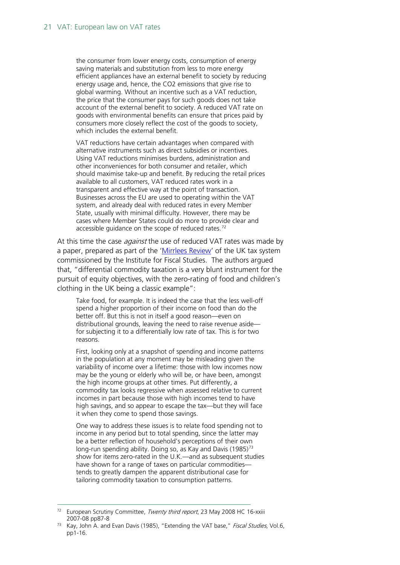the consumer from lower energy costs, consumption of energy saving materials and substitution from less to more energy efficient appliances have an external benefit to society by reducing energy usage and, hence, the CO2 emissions that give rise to global warming. Without an incentive such as a VAT reduction, the price that the consumer pays for such goods does not take account of the external benefit to society. A reduced VAT rate on goods with environmental benefits can ensure that prices paid by consumers more closely reflect the cost of the goods to society, which includes the external benefit.

VAT reductions have certain advantages when compared with alternative instruments such as direct subsidies or incentives. Using VAT reductions minimises burdens, administration and other inconveniences for both consumer and retailer, which should maximise take-up and benefit. By reducing the retail prices available to all customers, VAT reduced rates work in a transparent and effective way at the point of transaction. Businesses across the EU are used to operating within the VAT system, and already deal with reduced rates in every Member State, usually with minimal difficulty. However, there may be cases where Member States could do more to provide clear and accessible guidance on the scope of reduced rates.<sup>[72](#page-20-0)</sup>

At this time the case *against* the use of reduced VAT rates was made by a paper, prepared as part of the ['Mirrlees Review'](http://www.ifs.org.uk/publications/mirrleesreview/) of the UK tax system commissioned by the Institute for Fiscal Studies. The authors argued that, "differential commodity taxation is a very blunt instrument for the pursuit of equity objectives, with the zero-rating of food and children's clothing in the UK being a classic example":

Take food, for example. It is indeed the case that the less well-off spend a higher proportion of their income on food than do the better off. But this is not in itself a good reason—even on distributional grounds, leaving the need to raise revenue aside for subjecting it to a differentially low rate of tax. This is for two reasons.

First, looking only at a snapshot of spending and income patterns in the population at any moment may be misleading given the variability of income over a lifetime: those with low incomes now may be the young or elderly who will be, or have been, amongst the high income groups at other times. Put differently, a commodity tax looks regressive when assessed relative to current incomes in part because those with high incomes tend to have high savings, and so appear to escape the tax—but they will face it when they come to spend those savings.

One way to address these issues is to relate food spending not to income in any period but to total spending, since the latter may be a better reflection of household's perceptions of their own long-run spending ability. Doing so, as Kay and Davis (1985)<sup>[73](#page-20-1)</sup> show for items zero-rated in the U.K.—and as subsequent studies have shown for a range of taxes on particular commodities tends to greatly dampen the apparent distributional case for tailoring commodity taxation to consumption patterns.

<span id="page-20-0"></span><sup>&</sup>lt;sup>72</sup> European Scrutiny Committee, Twenty third report, 23 May 2008 HC 16-xxiii 2007-08 pp87-8

<span id="page-20-1"></span><sup>&</sup>lt;sup>73</sup> Kay, John A. and Evan Davis (1985), "Extending the VAT base," Fiscal Studies, Vol.6, pp1-16.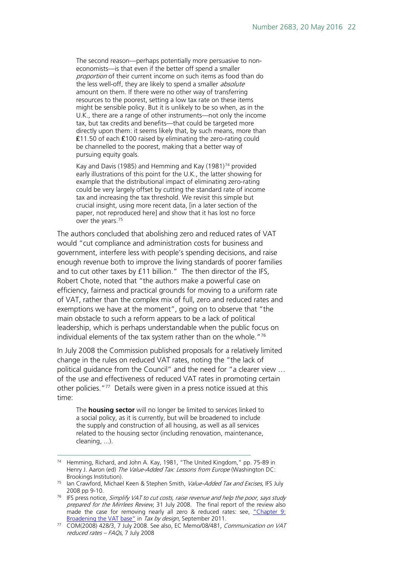The second reason—perhaps potentially more persuasive to noneconomists—is that even if the better off spend a smaller proportion of their current income on such items as food than do the less well-off, they are likely to spend a smaller absolute amount on them. If there were no other way of transferring resources to the poorest, setting a low tax rate on these items might be sensible policy. But it is unlikely to be so when, as in the U.K., there are a range of other instruments—not only the income tax, but tax credits and benefits—that could be targeted more directly upon them: it seems likely that, by such means, more than ₤11.50 of each ₤100 raised by eliminating the zero-rating could be channelled to the poorest, making that a better way of pursuing equity goals.

Kay and Davis (1985) and Hemming and Kay (1981)<sup>[74](#page-21-0)</sup> provided early illustrations of this point for the U.K., the latter showing for example that the distributional impact of eliminating zero-rating could be very largely offset by cutting the standard rate of income tax and increasing the tax threshold. We revisit this simple but crucial insight, using more recent data, [in a later section of the paper, not reproduced here] and show that it has lost no force over the years.<sup>[75](#page-21-1)</sup>

The authors concluded that abolishing zero and reduced rates of VAT would "cut compliance and administration costs for business and government, interfere less with people's spending decisions, and raise enough revenue both to improve the living standards of poorer families and to cut other taxes by £11 billion." The then director of the IFS, Robert Chote, noted that "the authors make a powerful case on efficiency, fairness and practical grounds for moving to a uniform rate of VAT, rather than the complex mix of full, zero and reduced rates and exemptions we have at the moment", going on to observe that "the main obstacle to such a reform appears to be a lack of political leadership, which is perhaps understandable when the public focus on individual elements of the tax system rather than on the whole."[76](#page-21-2)

In July 2008 the Commission published proposals for a relatively limited change in the rules on reduced VAT rates, noting the "the lack of political guidance from the Council" and the need for "a clearer view … of the use and effectiveness of reduced VAT rates in promoting certain other policies."<sup>[77](#page-21-3)</sup> Details were given in a press notice issued at this time:

The **housing sector** will no longer be limited to services linked to a social policy, as it is currently, but will be broadened to include the supply and construction of all housing, as well as all services related to the housing sector (including renovation, maintenance, cleaning, ...).

<span id="page-21-0"></span> <sup>74</sup> Hemming, Richard, and John A. Kay, 1981, "The United Kingdom," pp. 75-89 in Henry J. Aaron (ed) The Value-Added Tax: Lessons from Europe (Washington DC: Brookings Institution).

<span id="page-21-1"></span><sup>&</sup>lt;sup>75</sup> Ian Crawford, Michael Keen & Stephen Smith, Value-Added Tax and Excises, IFS July 2008 pp 9-10.

<span id="page-21-2"></span> $76$  IFS press notice, Simplify VAT to cut costs, raise revenue and help the poor, says study prepared for the Mirrlees Review, 31 July 2008. The final report of the review also made the case for removing nearly all zero & reduced rates: see, "Chapter 9: [Broadening the VAT base"](http://www.ifs.org.uk/mirrleesreview/design/ch9.pdf) in Tax by design, September 2011.

<span id="page-21-3"></span><sup>&</sup>lt;sup>77</sup> COM(2008) 428/3, 7 July 2008. See also, EC Memo/08/481, Communication on VAT reduced rates – FAQs, 7 July 2008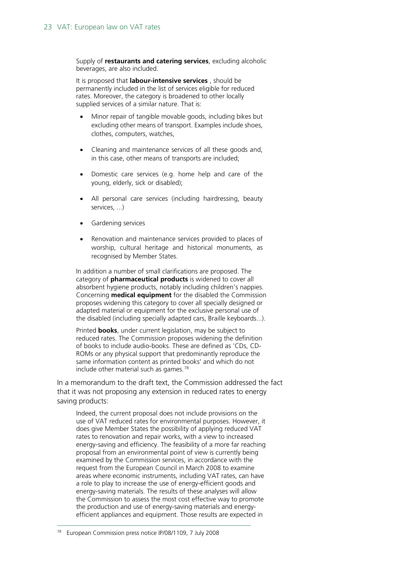Supply of **restaurants and catering services**, excluding alcoholic beverages, are also included.

It is proposed that **labour-intensive services** , should be permanently included in the list of services eligible for reduced rates. Moreover, the category is broadened to other locally supplied services of a similar nature. That is:

- Minor repair of tangible movable goods, including bikes but excluding other means of transport. Examples include shoes, clothes, computers, watches,
- Cleaning and maintenance services of all these goods and, in this case, other means of transports are included;
- Domestic care services (e.g. home help and care of the young, elderly, sick or disabled);
- All personal care services (including hairdressing, beauty services, ...)
- Gardening services
- Renovation and maintenance services provided to places of worship, cultural heritage and historical monuments, as recognised by Member States.

In addition a number of small clarifications are proposed. The category of **pharmaceutical products** is widened to cover all absorbent hygiene products, notably including children's nappies. Concerning **medical equipment** for the disabled the Commission proposes widening this category to cover all specially designed or adapted material or equipment for the exclusive personal use of the disabled (including specially adapted cars, Braille keyboards...).

Printed **books**, under current legislation, may be subject to reduced rates. The Commission proposes widening the definition of books to include audio-books. These are defined as 'CDs, CD-ROMs or any physical support that predominantly reproduce the same information content as printed books' and which do not include other material such as games. $78$ 

In a memorandum to the draft text, the Commission addressed the fact that it was not proposing any extension in reduced rates to energy saving products:

Indeed, the current proposal does not include provisions on the use of VAT reduced rates for environmental purposes. However, it does give Member States the possibility of applying reduced VAT rates to renovation and repair works, with a view to increased energy-saving and efficiency. The feasibility of a more far reaching proposal from an environmental point of view is currently being examined by the Commission services, in accordance with the request from the European Council in March 2008 to examine areas where economic instruments, including VAT rates, can have a role to play to increase the use of energy-efficient goods and energy-saving materials. The results of these analyses will allow the Commission to assess the most cost effective way to promote the production and use of energy-saving materials and energyefficient appliances and equipment. Those results are expected in

<span id="page-22-0"></span> <sup>78</sup> European Commission press notice IP/08/1109, 7 July 2008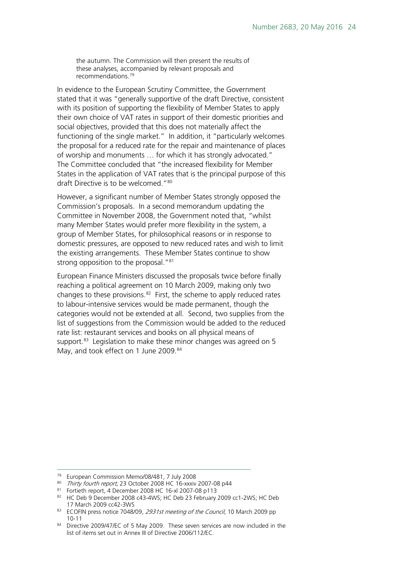the autumn. The Commission will then present the results of these analyses, accompanied by relevant proposals and recommendations.[79](#page-23-0)

In evidence to the European Scrutiny Committee, the Government stated that it was "generally supportive of the draft Directive, consistent with its position of supporting the flexibility of Member States to apply their own choice of VAT rates in support of their domestic priorities and social objectives, provided that this does not materially affect the functioning of the single market." In addition, it "particularly welcomes the proposal for a reduced rate for the repair and maintenance of places of worship and monuments … for which it has strongly advocated." The Committee concluded that "the increased flexibility for Member States in the application of VAT rates that is the principal purpose of this draft Directive is to be welcomed."<sup>80</sup>

However, a significant number of Member States strongly opposed the Commission's proposals. In a second memorandum updating the Committee in November 2008, the Government noted that, "whilst many Member States would prefer more flexibility in the system, a group of Member States, for philosophical reasons or in response to domestic pressures, are opposed to new reduced rates and wish to limit the existing arrangements. These Member States continue to show strong opposition to the proposal."<sup>[81](#page-23-2)</sup>

European Finance Ministers discussed the proposals twice before finally reaching a political agreement on 10 March 2009, making only two changes to these provisions.<sup>82</sup> First, the scheme to apply reduced rates to labour-intensive services would be made permanent, though the categories would not be extended at all. Second, two supplies from the list of suggestions from the Commission would be added to the reduced rate list: restaurant services and books on all physical means of support.<sup>83</sup> Legislation to make these minor changes was agreed on 5 May, and took effect on 1 June 2009.<sup>84</sup>

- <span id="page-23-1"></span>80 Thirty fourth report, 23 October 2008 HC 16-xxxiv 2007-08 p44
- <span id="page-23-2"></span><sup>81</sup> Fortieth report, 4 December 2008 HC 16-xl 2007-08 p113

<span id="page-23-0"></span> <sup>79</sup> European Commission Memo/08/481, 7 July 2008

<span id="page-23-3"></span><sup>82</sup> HC Deb 9 December 2008 c43-4WS; HC Deb 23 February 2009 cc1-2WS; HC Deb 17 March 2009 cc42-3WS

<span id="page-23-4"></span><sup>83</sup> ECOFIN press notice 7048/09, 2931st meeting of the Council, 10 March 2009 pp 10-11

<span id="page-23-5"></span><sup>84</sup> Directive 2009/47/EC of 5 May 2009. These seven services are now included in the list of items set out in Annex III of Directive 2006/112/EC.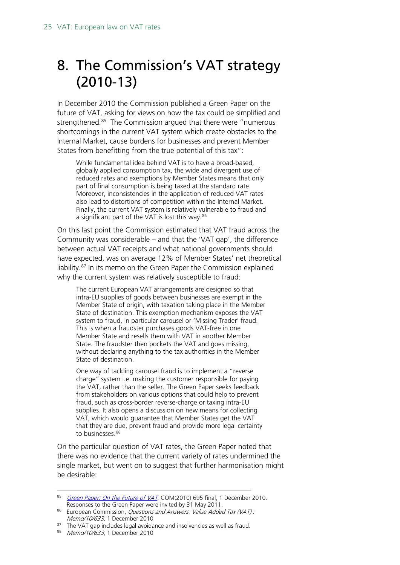# <span id="page-24-0"></span>8. The Commission's VAT strategy (2010-13)

In December 2010 the Commission published a Green Paper on the future of VAT, asking for views on how the tax could be simplified and strengthened. [85](#page-24-1) The Commission argued that there were "numerous shortcomings in the current VAT system which create obstacles to the Internal Market, cause burdens for businesses and prevent Member States from benefitting from the true potential of this tax":

While fundamental idea behind VAT is to have a broad-based, globally applied consumption tax, the wide and divergent use of reduced rates and exemptions by Member States means that only part of final consumption is being taxed at the standard rate. Moreover, inconsistencies in the application of reduced VAT rates also lead to distortions of competition within the Internal Market. Finally, the current VAT system is relatively vulnerable to fraud and a significant part of the VAT is lost this way.<sup>[86](#page-24-2)</sup>

On this last point the Commission estimated that VAT fraud across the Community was considerable – and that the 'VAT gap', the difference between actual VAT receipts and what national governments should have expected, was on average 12% of Member States' net theoretical liability.<sup>[87](#page-24-3)</sup> In its memo on the Green Paper the Commission explained why the current system was relatively susceptible to fraud:

The current European VAT arrangements are designed so that intra-EU supplies of goods between businesses are exempt in the Member State of origin, with taxation taking place in the Member State of destination. This exemption mechanism exposes the VAT system to fraud, in particular carousel or 'Missing Trader' fraud. This is when a fraudster purchases goods VAT-free in one Member State and resells them with VAT in another Member State. The fraudster then pockets the VAT and goes missing, without declaring anything to the tax authorities in the Member State of destination.

One way of tackling carousel fraud is to implement a "reverse charge" system i.e. making the customer responsible for paying the VAT, rather than the seller. The Green Paper seeks feedback from stakeholders on various options that could help to prevent fraud, such as cross-border reverse-charge or taxing intra-EU supplies. It also opens a discussion on new means for collecting VAT, which would guarantee that Member States get the VAT that they are due, prevent fraud and provide more legal certainty to businesses.<sup>[88](#page-24-4)</sup>

On the particular question of VAT rates, the Green Paper noted that there was no evidence that the current variety of rates undermined the single market, but went on to suggest that further harmonisation might be desirable:

<span id="page-24-1"></span><sup>85</sup> [Green Paper: On the Future of VAT](http://ec.europa.eu/taxation_customs/common/consultations/tax/2010_11_future_vat_en.htm), COM(2010) 695 final, 1 December 2010. Responses to the Green Paper were invited by 31 May 2011.

<span id="page-24-2"></span><sup>86</sup> European Commission, *Questions and Answers: Value Added Tax (VAT)*: Memo/10/633, 1 December 2010

<span id="page-24-4"></span><span id="page-24-3"></span><sup>&</sup>lt;sup>87</sup> The VAT gap includes legal avoidance and insolvencies as well as fraud.

<sup>88</sup> Memo/10/633, 1 December 2010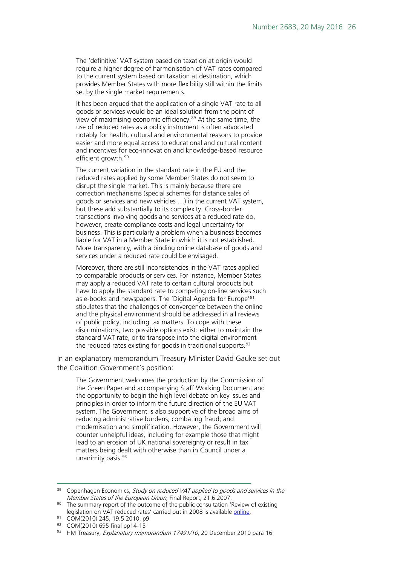The 'definitive' VAT system based on taxation at origin would require a higher degree of harmonisation of VAT rates compared to the current system based on taxation at destination, which provides Member States with more flexibility still within the limits set by the single market requirements.

It has been argued that the application of a single VAT rate to all goods or services would be an ideal solution from the point of view of maximising economic efficiency.<sup>[89](#page-25-0)</sup> At the same time, the use of reduced rates as a policy instrument is often advocated notably for health, cultural and environmental reasons to provide easier and more equal access to educational and cultural content and incentives for eco-innovation and knowledge-based resource efficient growth.<sup>[90](#page-25-1)</sup>

The current variation in the standard rate in the EU and the reduced rates applied by some Member States do not seem to disrupt the single market. This is mainly because there are correction mechanisms (special schemes for distance sales of goods or services and new vehicles …) in the current VAT system, but these add substantially to its complexity. Cross-border transactions involving goods and services at a reduced rate do, however, create compliance costs and legal uncertainty for business. This is particularly a problem when a business becomes liable for VAT in a Member State in which it is not established. More transparency, with a binding online database of goods and services under a reduced rate could be envisaged.

Moreover, there are still inconsistencies in the VAT rates applied to comparable products or services. For instance, Member States may apply a reduced VAT rate to certain cultural products but have to apply the standard rate to competing on-line services such as e-books and newspapers. The 'Digital Agenda for Europe'[91](#page-25-2) stipulates that the challenges of convergence between the online and the physical environment should be addressed in all reviews of public policy, including tax matters. To cope with these discriminations, two possible options exist: either to maintain the standard VAT rate, or to transpose into the digital environment the reduced rates existing for goods in traditional supports.<sup>[92](#page-25-3)</sup>

In an explanatory memorandum Treasury Minister David Gauke set out the Coalition Government's position:

The Government welcomes the production by the Commission of the Green Paper and accompanying Staff Working Document and the opportunity to begin the high level debate on key issues and principles in order to inform the future direction of the EU VAT system. The Government is also supportive of the broad aims of reducing administrative burdens; combating fraud; and modernisation and simplification. However, the Government will counter unhelpful ideas, including for example those that might lead to an erosion of UK national sovereignty or result in tax matters being dealt with otherwise than in Council under a unanimity basis.<sup>[93](#page-25-4)</sup>

- <span id="page-25-2"></span><sup>91</sup> COM(2010) 245, 19.5.2010, p9
- <sup>92</sup> COM(2010) 695 final pp14-15

<span id="page-25-0"></span><sup>89</sup> Copenhagen Economics, Study on reduced VAT applied to goods and services in the Member States of the European Union, Final Report, 21.6.2007.

<span id="page-25-1"></span><sup>&</sup>lt;sup>90</sup> The summary report of the outcome of the public consultation 'Review of existing legislation on VAT reduced rates' carried out in 2008 is available [online.](http://ec.europa.eu/taxation_customs/resources/documents/common/consultations/tax/summary_report_consultation_vat_rates_en.pdf)

<span id="page-25-4"></span><span id="page-25-3"></span><sup>93</sup> HM Treasury, Explanatory memorandum 17491/10, 20 December 2010 para 16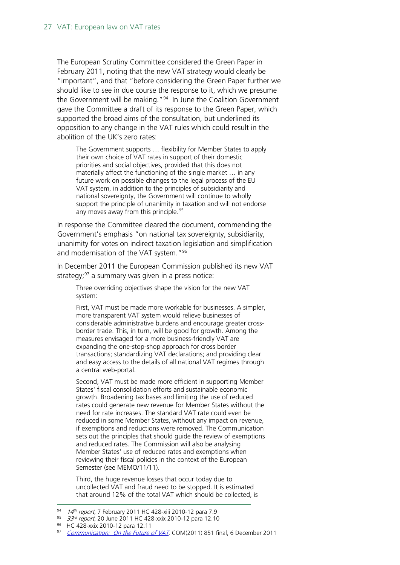The European Scrutiny Committee considered the Green Paper in February 2011, noting that the new VAT strategy would clearly be "important", and that "before considering the Green Paper further we should like to see in due course the response to it, which we presume the Government will be making."<sup>[94](#page-26-0)</sup> In June the Coalition Government gave the Committee a draft of its response to the Green Paper, which supported the broad aims of the consultation, but underlined its opposition to any change in the VAT rules which could result in the abolition of the UK's zero rates:

The Government supports … flexibility for Member States to apply their own choice of VAT rates in support of their domestic priorities and social objectives, provided that this does not materially affect the functioning of the single market … in any future work on possible changes to the legal process of the EU VAT system, in addition to the principles of subsidiarity and national sovereignty, the Government will continue to wholly support the principle of unanimity in taxation and will not endorse any moves away from this principle.<sup>[95](#page-26-1)</sup>

In response the Committee cleared the document, commending the Government's emphasis "on national tax sovereignty, subsidiarity, unanimity for votes on indirect taxation legislation and simplification and modernisation of the VAT system."<sup>96</sup>

In December 2011 the European Commission published its new VAT strategy; $97$  a summary was given in a press notice:

Three overriding objectives shape the vision for the new VAT system:

First, VAT must be made more workable for businesses. A simpler, more transparent VAT system would relieve businesses of considerable administrative burdens and encourage greater crossborder trade. This, in turn, will be good for growth. Among the measures envisaged for a more business-friendly VAT are expanding the one-stop-shop approach for cross border transactions; standardizing VAT declarations; and providing clear and easy access to the details of all national VAT regimes through a central web-portal.

Second, VAT must be made more efficient in supporting Member States' fiscal consolidation efforts and sustainable economic growth. Broadening tax bases and limiting the use of reduced rates could generate new revenue for Member States without the need for rate increases. The standard VAT rate could even be reduced in some Member States, without any impact on revenue, if exemptions and reductions were removed. The Communication sets out the principles that should guide the review of exemptions and reduced rates. The Commission will also be analysing Member States' use of reduced rates and exemptions when reviewing their fiscal policies in the context of the European Semester (see MEMO/11/11).

Third, the huge revenue losses that occur today due to uncollected VAT and fraud need to be stopped. It is estimated that around 12% of the total VAT which should be collected, is

<span id="page-26-0"></span> $94$  14<sup>th</sup> report, 7 February 2011 HC 428-xiii 2010-12 para 7.9

<span id="page-26-1"></span> $95$  33<sup>rd</sup> report, 20 June 2011 HC 428-xxix 2010-12 para 12.10

<span id="page-26-2"></span><sup>96</sup> HC 428-xxix 2010-12 para 12.11

<span id="page-26-3"></span><sup>97</sup> [Communication: On the Future of VAT](http://ec.europa.eu/taxation_customs/resources/documents/taxation/vat/key_documents/communications/com_2011_851_en.pdf), COM(2011) 851 final, 6 December 2011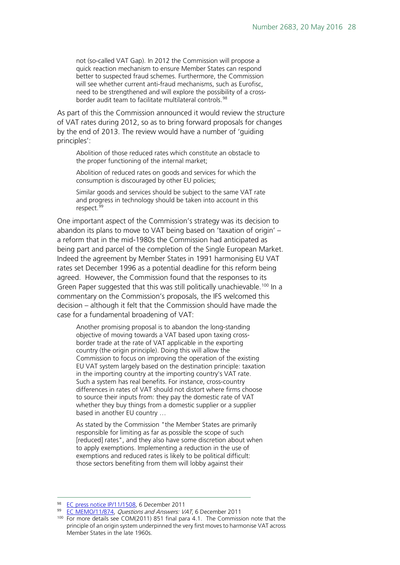not (so-called VAT Gap). In 2012 the Commission will propose a quick reaction mechanism to ensure Member States can respond better to suspected fraud schemes. Furthermore, the Commission will see whether current anti-fraud mechanisms, such as Eurofisc, need to be strengthened and will explore the possibility of a cross-border audit team to facilitate multilateral controls.<sup>[98](#page-27-0)</sup>

As part of this the Commission announced it would review the structure of VAT rates during 2012, so as to bring forward proposals for changes by the end of 2013. The review would have a number of 'guiding principles':

Abolition of those reduced rates which constitute an obstacle to the proper functioning of the internal market;

Abolition of reduced rates on goods and services for which the consumption is discouraged by other EU policies;

Similar goods and services should be subject to the same VAT rate and progress in technology should be taken into account in this respect.<sup>[99](#page-27-1)</sup>

One important aspect of the Commission's strategy was its decision to abandon its plans to move to VAT being based on 'taxation of origin' – a reform that in the mid-1980s the Commission had anticipated as being part and parcel of the completion of the Single European Market. Indeed the agreement by Member States in 1991 harmonising EU VAT rates set December 1996 as a potential deadline for this reform being agreed. However, the Commission found that the responses to its Green Paper suggested that this was still politically unachievable.<sup>[100](#page-27-2)</sup> In a commentary on the Commission's proposals, the IFS welcomed this decision – although it felt that the Commission should have made the case for a fundamental broadening of VAT:

Another promising proposal is to abandon the long-standing objective of moving towards a VAT based upon taxing crossborder trade at the rate of VAT applicable in the exporting country (the origin principle). Doing this will allow the Commission to focus on improving the operation of the existing EU VAT system largely based on the destination principle: taxation in the importing country at the importing country's VAT rate. Such a system has real benefits. For instance, cross-country differences in rates of VAT should not distort where firms choose to source their inputs from: they pay the domestic rate of VAT whether they buy things from a domestic supplier or a supplier based in another EU country …

As stated by the Commission "the Member States are primarily responsible for limiting as far as possible the scope of such [reduced] rates", and they also have some discretion about when to apply exemptions. Implementing a reduction in the use of exemptions and reduced rates is likely to be political difficult: those sectors benefiting from them will lobby against their

<span id="page-27-0"></span><sup>98</sup> EC [press notice IP/11/1508,](http://europa.eu/rapid/pressReleasesAction.do?reference=IP/11/1508&format=HTML&aged=0&language=en&guiLanguage=en) 6 December 2011

<span id="page-27-1"></span><sup>99</sup> [EC MEMO/11/874,](http://europa.eu/rapid/pressReleasesAction.do?reference=MEMO/11/874&format=HTML&aged=0&language=EN&guiLanguage=en) Questions and Answers: VAT, 6 December 2011

<span id="page-27-2"></span><sup>&</sup>lt;sup>100</sup> For more details see COM(2011) 851 final para 4.1. The Commission note that the principle of an origin system underpinned the very first moves to harmonise VAT across Member States in the late 1960s.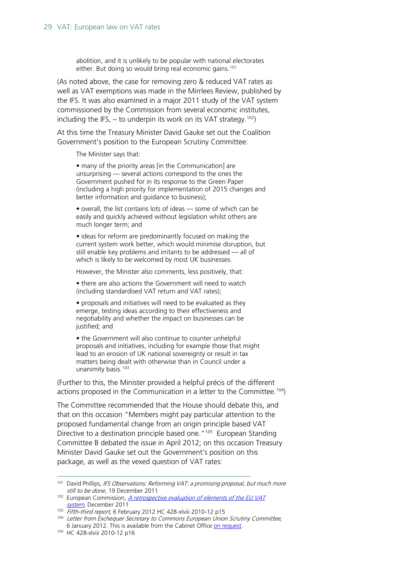abolition, and it is unlikely to be popular with national electorates either. But doing so would bring real economic gains.<sup>[101](#page-28-0)</sup>

(As noted above, the case for removing zero & reduced VAT rates as well as VAT exemptions was made in the Mirrlees Review, published by the IFS. It was also examined in a major 2011 study of the VAT system commissioned by the Commission from several economic institutes, including the IFS,  $-$  to underpin its work on its VAT strategy.<sup>102</sup>)

At this time the Treasury Minister David Gauke set out the Coalition Government's position to the European Scrutiny Committee:

The Minister says that:

• many of the priority areas [in the Communication] are unsurprising — several actions correspond to the ones the Government pushed for in its response to the Green Paper (including a high priority for implementation of 2015 changes and better information and guidance to business);

• overall, the list contains lots of ideas — some of which can be easily and quickly achieved without legislation whilst others are much longer term; and

• ideas for reform are predominantly focused on making the current system work better, which would minimise disruption, but still enable key problems and irritants to be addressed — all of which is likely to be welcomed by most UK businesses.

However, the Minister also comments, less positively, that:

• there are also actions the Government will need to watch (including standardised VAT return and VAT rates);

• proposals and initiatives will need to be evaluated as they emerge, testing ideas according to their effectiveness and negotiability and whether the impact on businesses can be justified; and

• the Government will also continue to counter unhelpful proposals and initiatives, including for example those that might lead to an erosion of UK national sovereignty or result in tax matters being dealt with otherwise than in Council under a unanimity basis.<sup>[103](#page-28-2)</sup>

(Further to this, the Minister provided a helpful précis of the different actions proposed in the Communication in a letter to the Committee.<sup>104</sup>)

The Committee recommended that the House should debate this, and that on this occasion "Members might pay particular attention to the proposed fundamental change from an origin principle based VAT Directive to a destination principle based one."<sup>[105](#page-28-4)</sup> European Standing Committee B debated the issue in April 2012; on this occasion Treasury Minister David Gauke set out the Government's position on this package, as well as the vexed question of VAT rates:

<span id="page-28-0"></span><sup>&</sup>lt;sup>101</sup> David Phillips, IFS Observations: Reforming VAT: a promising proposal, but much more still to be done, 19 December 2011

<span id="page-28-1"></span><sup>&</sup>lt;sup>102</sup> European Commission, *A retrospective evaluation of elements of the EU VAT* [system](http://ec.europa.eu/taxation_customs/resources/documents/common/publications/studies/report_evaluation_vat.pdf), December 2011

<span id="page-28-2"></span> $103$  Fifth-third report, 6 February 2012 HC 428-xlviii 2010-12 p15

<span id="page-28-3"></span><sup>&</sup>lt;sup>104</sup> Letter from Exchequer Secretary to Commons European Union Scrutiny Committee, 6 January 2012. This is available from the Cabinet Office on request.<br><sup>105</sup> HC 428-xlviii 2010-12 p16

<span id="page-28-4"></span>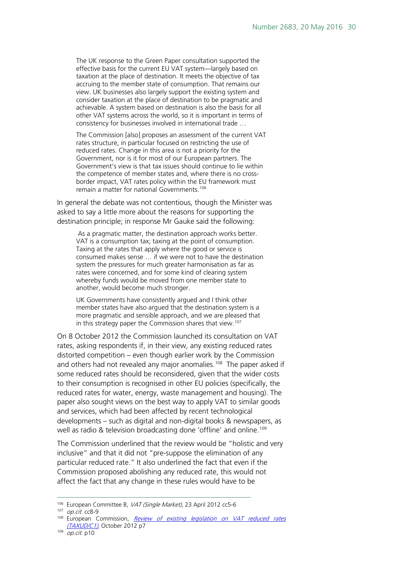The UK response to the Green Paper consultation supported the effective basis for the current EU VAT system—largely based on taxation at the place of destination. It meets the objective of tax accruing to the member state of consumption. That remains our view. UK businesses also largely support the existing system and consider taxation at the place of destination to be pragmatic and achievable. A system based on destination is also the basis for all other VAT systems across the world, so it is important in terms of consistency for businesses involved in international trade …

The Commission [also] proposes an assessment of the current VAT rates structure, in particular focused on restricting the use of reduced rates. Change in this area is not a priority for the Government, nor is it for most of our European partners. The Government's view is that tax issues should continue to lie within the competence of member states and, where there is no crossborder impact, VAT rates policy within the EU framework must remain a matter for national Governments.[106](#page-29-0)

In general the debate was not contentious, though the Minister was asked to say a little more about the reasons for supporting the destination principle; in response Mr Gauke said the following:

As a pragmatic matter, the destination approach works better. VAT is a consumption tax; taxing at the point of consumption. Taxing at the rates that apply where the good or service is consumed makes sense … if we were not to have the destination system the pressures for much greater harmonisation as far as rates were concerned, and for some kind of clearing system whereby funds would be moved from one member state to another, would become much stronger.

UK Governments have consistently argued and I think other member states have also argued that the destination system is a more pragmatic and sensible approach, and we are pleased that in this strategy paper the Commission shares that view.<sup>[107](#page-29-1)</sup>

On 8 October 2012 the Commission launched its consultation on VAT rates, asking respondents if, in their view, any existing reduced rates distorted competition – even though earlier work by the Commission and others had not revealed any major anomalies.<sup>[108](#page-29-2)</sup> The paper asked if some reduced rates should be reconsidered, given that the wider costs to their consumption is recognised in other EU policies (specifically, the reduced rates for water, energy, waste management and housing). The paper also sought views on the best way to apply VAT to similar goods and services, which had been affected by recent technological developments – such as digital and non-digital books & newspapers, as well as radio & television broadcasting done 'offline' and online.<sup>[109](#page-29-3)</sup>

The Commission underlined that the review would be "holistic and very inclusive" and that it did not "pre-suppose the elimination of any particular reduced rate." It also underlined the fact that even if the Commission proposed abolishing any reduced rate, this would not affect the fact that any change in these rules would have to be

<span id="page-29-0"></span><sup>106</sup> European Committee B, VAT (Single Market), 23 April 2012 cc5-6

<span id="page-29-1"></span><sup>107</sup> op.cit. cc8-9

<span id="page-29-2"></span><sup>&</sup>lt;sup>108</sup> European Commission, *Review of existing legislation on VAT reduced rates* [\(TAXUD/C1\)](http://ec.europa.eu/taxation_customs/common/consultations/tax/2012_vat_rates_en.htm), October 2012 p7

<span id="page-29-3"></span> $109$  *op.cit.* p10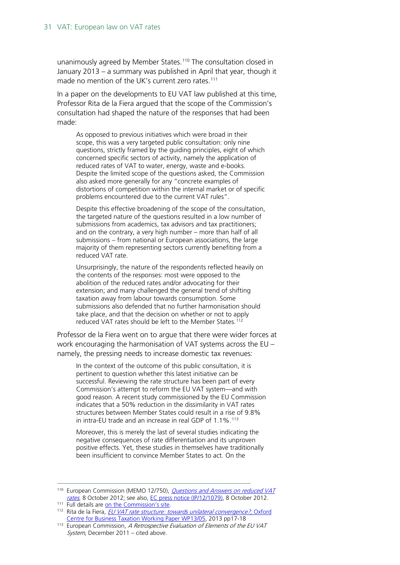unanimously agreed by Member States.<sup>110</sup> The consultation closed in January 2013 – a summary was published in April that year, though it made no mention of the UK's current zero rates.<sup>[111](#page-30-1)</sup>

In a paper on the developments to EU VAT law published at this time, Professor Rita de la Fiera argued that the scope of the Commission's consultation had shaped the nature of the responses that had been made:

As opposed to previous initiatives which were broad in their scope, this was a very targeted public consultation: only nine questions, strictly framed by the guiding principles, eight of which concerned specific sectors of activity, namely the application of reduced rates of VAT to water, energy, waste and e-books. Despite the limited scope of the questions asked, the Commission also asked more generally for any "concrete examples of distortions of competition within the internal market or of specific problems encountered due to the current VAT rules".

Despite this effective broadening of the scope of the consultation, the targeted nature of the questions resulted in a low number of submissions from academics, tax advisors and tax practitioners; and on the contrary, a very high number – more than half of all submissions – from national or European associations, the large majority of them representing sectors currently benefiting from a reduced VAT rate.

Unsurprisingly, the nature of the respondents reflected heavily on the contents of the responses: most were opposed to the abolition of the reduced rates and/or advocating for their extension; and many challenged the general trend of shifting taxation away from labour towards consumption. Some submissions also defended that no further harmonisation should take place, and that the decision on whether or not to apply reduced VAT rates should be left to the Member States.<sup>[112](#page-30-2)</sup>

Professor de la Fiera went on to argue that there were wider forces at work encouraging the harmonisation of VAT systems across the EU – namely, the pressing needs to increase domestic tax revenues:

In the context of the outcome of this public consultation, it is pertinent to question whether this latest initiative can be successful. Reviewing the rate structure has been part of every Commission's attempt to reform the EU VAT system—and with good reason. A recent study commissioned by the EU Commission indicates that a 50% reduction in the dissimilarity in VAT rates structures between Member States could result in a rise of 9.8% in intra-EU trade and an increase in real GDP of 1.1%.<sup>[113](#page-30-3)</sup>

Moreover, this is merely the last of several studies indicating the negative consequences of rate differentiation and its unproven positive effects. Yet, these studies in themselves have traditionally been insufficient to convince Member States to act. On the

<span id="page-30-0"></span><sup>&</sup>lt;sup>110</sup> European Commission (MEMO 12/750), *Questions and Answers on reduced VAT* [rates](http://europa.eu/rapid/pressReleasesAction.do?reference=MEMO/12/750&format=HTML&aged=0&language=en&guiLanguage=en), 8 October 2012; see also, [EC press notice \(IP/12/1079\),](http://europa.eu/rapid/pressReleasesAction.do?reference=IP/12/1079&format=HTML&aged=0&language=en&guiLanguage=en) 8 October 2012.

<span id="page-30-1"></span><sup>111</sup> Full details are [on the Commission's site.](https://circabc.europa.eu/faces/jsp/extension/wai/navigation/container.jsp)

<span id="page-30-2"></span><sup>112</sup> Rita de la Fiera, [EU VAT rate structure: towards unilateral convergence?](http://www.sbs.ox.ac.uk/faculty-research/tax/publications/working-papers/eu-vat-rate-structure-towards-unilateral-convergence), Oxford [Centre for Business Taxation Working Paper WP13/05,](http://www.sbs.ox.ac.uk/faculty-research/tax/publications/working-papers/eu-vat-rate-structure-towards-unilateral-convergence) 2013 pp17-18

<span id="page-30-3"></span> $113$  European Commission, A Retrospective Evaluation of Elements of the EU VAT System, December 2011 – cited above.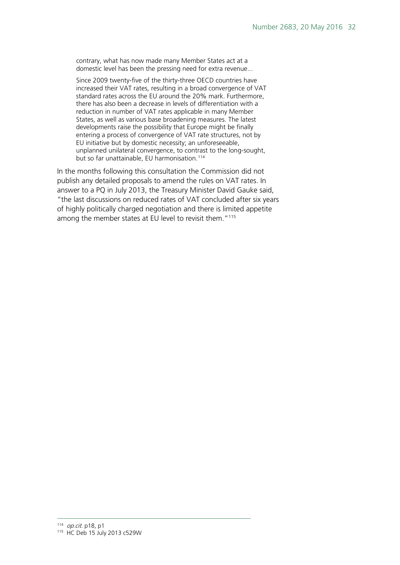contrary, what has now made many Member States act at a domestic level has been the pressing need for extra revenue...

Since 2009 twenty-five of the thirty-three OECD countries have increased their VAT rates, resulting in a broad convergence of VAT standard rates across the EU around the 20% mark. Furthermore, there has also been a decrease in levels of differentiation with a reduction in number of VAT rates applicable in many Member States, as well as various base broadening measures. The latest developments raise the possibility that Europe might be finally entering a process of convergence of VAT rate structures, not by EU initiative but by domestic necessity; an unforeseeable, unplanned unilateral convergence, to contrast to the long-sought, but so far unattainable, EU harmonisation.<sup>[114](#page-31-0)</sup>

<span id="page-31-1"></span><span id="page-31-0"></span>In the months following this consultation the Commission did not publish any detailed proposals to amend the rules on VAT rates. In answer to a PQ in July 2013, the Treasury Minister David Gauke said, "the last discussions on reduced rates of VAT concluded after six years of highly politically charged negotiation and there is limited appetite among the member states at EU level to revisit them."<sup>115</sup>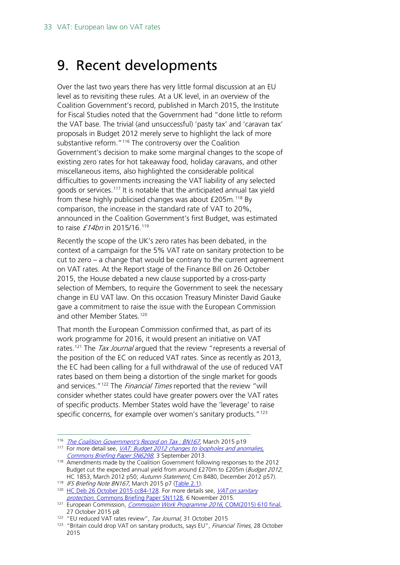### <span id="page-32-0"></span>9. Recent developments

Over the last two years there has very little formal discussion at an EU level as to revisiting these rules. At a UK level, in an overview of the Coalition Government's record, published in March 2015, the Institute for Fiscal Studies noted that the Government had "done little to reform the VAT base. The trivial (and unsuccessful) 'pasty tax' and 'caravan tax' proposals in Budget 2012 merely serve to highlight the lack of more substantive reform."<sup>[116](#page-32-1)</sup> The controversy over the Coalition Government's decision to make some marginal changes to the scope of existing zero rates for hot takeaway food, holiday caravans, and other miscellaneous items, also highlighted the considerable political difficulties to governments increasing the VAT liability of any selected goods or services.[117](#page-32-2) It is notable that the anticipated annual tax yield from these highly publicised changes was about  $£205m<sup>118</sup>$  $£205m<sup>118</sup>$  $£205m<sup>118</sup>$  By comparison, the increase in the standard rate of VAT to 20%, announced in the Coalition Government's first Budget, was estimated to raise £14bn in 2015/16.<sup>[119](#page-32-4)</sup>

Recently the scope of the UK's zero rates has been debated, in the context of a campaign for the 5% VAT rate on sanitary protection to be cut to zero – a change that would be contrary to the current agreement on VAT rates. At the Report stage of the Finance Bill on 26 October 2015, the House debated a new clause supported by a cross-party selection of Members, to require the Government to seek the necessary change in EU VAT law. On this occasion Treasury Minister David Gauke gave a commitment to raise the issue with the European Commission and other Member States. [120](#page-32-5)

That month the European Commission confirmed that, as part of its work programme for 2016, it would present an initiative on VAT rates.<sup>[121](#page-32-6)</sup> The *Tax Journal* argued that the review "represents a reversal of the position of the EC on reduced VAT rates. Since as recently as 2013, the EC had been calling for a full withdrawal of the use of reduced VAT rates based on them being a distortion of the single market for goods and services."<sup>[122](#page-32-7)</sup> The *Financial Times* reported that the review "will consider whether states could have greater powers over the VAT rates of specific products. Member States wold have the 'leverage' to raise specific concerns, for example over women's sanitary products."<sup>[123](#page-32-8)</sup>

<span id="page-32-1"></span><sup>116</sup> *[The Coalition Government's Record on Tax : BN167](http://www.ifs.org.uk/uploads/publications/bns/BN167170315.pdf)*, March 2015 p19

<span id="page-32-2"></span><sup>&</sup>lt;sup>117</sup> For more detail see, *VAT: Budget 2012 changes to loopholes and anomalies*, [Commons Briefing Paper SN6298](http://researchbriefings.parliament.uk/ResearchBriefing/Summary/SN06298), 3 September 2013.

<span id="page-32-3"></span><sup>&</sup>lt;sup>118</sup> Amendments made by the Coalition Government following responses to the 2012 Budget cut the expected annual yield from around £270m to £205m (Budget 2012, HC 1853, March 2012 p50; Autumn Statement, Cm 8480, December 2012 p57).

<span id="page-32-5"></span><span id="page-32-4"></span><sup>119</sup> IFS Briefing Note BN167, March 2015 p7 [\(Table 2.1\).](http://www.ifs.org.uk/uploads/publications/bns/BN167170315.pdf#page=7)

<sup>&</sup>lt;sup>120</sup> [HC Deb 26 October 2015 cc84-128.](http://www.publications.parliament.uk/pa/cm201516/cmhansrd/cm151026/debtext/151026-0003.htm#15102627001287) For more details see, *VAT on sanitary* protection[, Commons Briefing Paper SN1128,](http://researchbriefings.parliament.uk/ResearchBriefing/Summary/SN01128) 6 November 2015.

<span id="page-32-6"></span><sup>&</sup>lt;sup>121</sup> European Commission, *[Commission Work Programme 2016](http://ec.europa.eu/atwork/pdf/cwp_2016_en.pdf)*, COM(2015) 610 final, 27 October 2015 p8

<sup>&</sup>lt;sup>122</sup> "EU reduced VAT rates review", Tax Journal, 31 October 2015

<span id="page-32-8"></span><span id="page-32-7"></span><sup>&</sup>lt;sup>123</sup> "Britain could drop VAT on sanitary products, says EU", Financial Times, 28 October 2015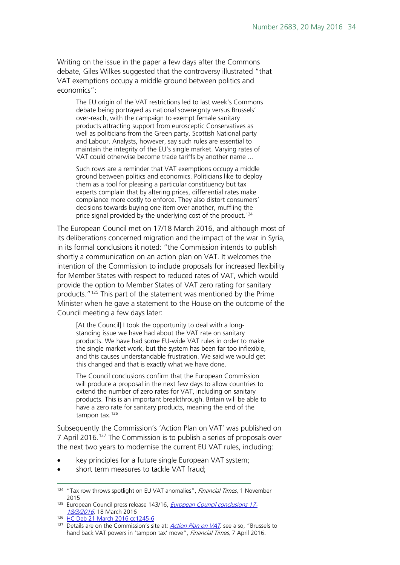Writing on the issue in the paper a few days after the Commons debate, Giles Wilkes suggested that the controversy illustrated "that VAT exemptions occupy a middle ground between politics and economics":

The EU origin of the VAT restrictions led to last week's Commons debate being portrayed as national sovereignty versus Brussels' over-reach, with the campaign to exempt female sanitary products attracting support from eurosceptic Conservatives as well as politicians from the Green party, Scottish National party and Labour. Analysts, however, say such rules are essential to maintain the integrity of the EU's single market. Varying rates of VAT could otherwise become trade tariffs by another name ...

Such rows are a reminder that VAT exemptions occupy a middle ground between politics and economics. Politicians like to deploy them as a tool for pleasing a particular constituency but tax experts complain that by altering prices, differential rates make compliance more costly to enforce. They also distort consumers' decisions towards buying one item over another, muffling the price signal provided by the underlying cost of the product.<sup>[124](#page-33-0)</sup>

The European Council met on 17/18 March 2016, and although most of its deliberations concerned migration and the impact of the war in Syria, in its formal conclusions it noted: "the Commission intends to publish shortly a communication on an action plan on VAT. It welcomes the intention of the Commission to include proposals for increased flexibility for Member States with respect to reduced rates of VAT, which would provide the option to Member States of VAT zero rating for sanitary products."[125](#page-33-1) This part of the statement was mentioned by the Prime Minister when he gave a statement to the House on the outcome of the Council meeting a few days later:

[At the Council] I took the opportunity to deal with a longstanding issue we have had about the VAT rate on sanitary products. We have had some EU-wide VAT rules in order to make the single market work, but the system has been far too inflexible, and this causes understandable frustration. We said we would get this changed and that is exactly what we have done.

The Council conclusions confirm that the European Commission will produce a proposal in the next few days to allow countries to extend the number of zero rates for VAT, including on sanitary products. This is an important breakthrough. Britain will be able to have a zero rate for sanitary products, meaning the end of the tampon tax.<sup>[126](#page-33-2)</sup>

Subsequently the Commission's 'Action Plan on VAT' was published on 7 April 2016.<sup>[127](#page-33-3)</sup> The Commission is to publish a series of proposals over the next two years to modernise the current EU VAT rules, including:

- key principles for a future single European VAT system;
- short term measures to tackle VAT fraud:

<span id="page-33-0"></span><sup>&</sup>lt;sup>124</sup> "Tax row throws spotlight on EU VAT anomalies", Financial Times, 1 November 2015

<span id="page-33-1"></span><sup>&</sup>lt;sup>125</sup> European Council press release 143/16, *[European Council conclusions 17-](http://www.consilium.europa.eu/en/press/press-releases/2016/03/18-european-council-conclusions/)* [18/3/2016](http://www.consilium.europa.eu/en/press/press-releases/2016/03/18-european-council-conclusions/), 18 March 2016

<span id="page-33-2"></span><sup>126</sup> [HC Deb 21 March 2016 cc1245-6](http://www.publications.parliament.uk/pa/cm201516/cmhansrd/cm160321/debtext/160321-0001.htm#16032111000001)

<span id="page-33-3"></span><sup>127</sup> Details are on the Commission's site at: *[Action Plan on VAT](http://ec.europa.eu/taxation_customs/taxation/vat/action_plan/index_en.htm)*. see also, "Brussels to hand back VAT powers in 'tampon tax' move", Financial Times, 7 April 2016.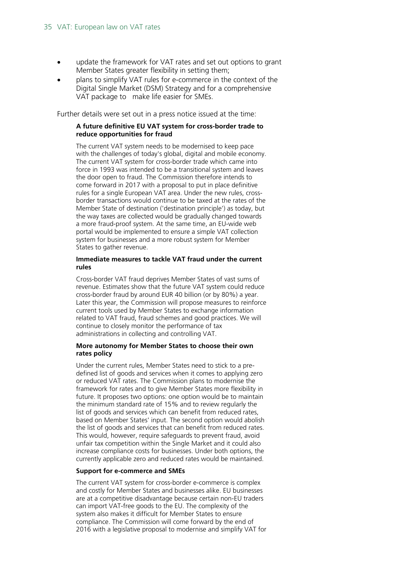- update the framework for VAT rates and set out options to grant Member States greater flexibility in setting them;
- plans to simplify VAT rules for e-commerce in the context of the Digital Single Market (DSM) Strategy and for a comprehensive VAT package to make life easier for SMEs.

Further details were set out in a press notice issued at the time:

#### **A future definitive EU VAT system for cross-border trade to reduce opportunities for fraud**

The current VAT system needs to be modernised to keep pace with the challenges of today's global, digital and mobile economy. The current VAT system for cross-border trade which came into force in 1993 was intended to be a transitional system and leaves the door open to fraud. The Commission therefore intends to come forward in 2017 with a proposal to put in place definitive rules for a single European VAT area. Under the new rules, crossborder transactions would continue to be taxed at the rates of the Member State of destination ('destination principle') as today, but the way taxes are collected would be gradually changed towards a more fraud-proof system. At the same time, an EU-wide web portal would be implemented to ensure a simple VAT collection system for businesses and a more robust system for Member States to gather revenue.

#### **Immediate measures to tackle VAT fraud under the current rules**

Cross-border VAT fraud deprives Member States of vast sums of revenue. Estimates show that the future VAT system could reduce cross-border fraud by around EUR 40 billion (or by 80%) a year. Later this year, the Commission will propose measures to reinforce current tools used by Member States to exchange information related to VAT fraud, fraud schemes and good practices. We will continue to closely monitor the performance of tax administrations in collecting and controlling VAT.

#### **More autonomy for Member States to choose their own rates policy**

Under the current rules, Member States need to stick to a predefined list of goods and services when it comes to applying zero or reduced VAT rates. The Commission plans to modernise the framework for rates and to give Member States more flexibility in future. It proposes two options: one option would be to maintain the minimum standard rate of 15% and to review regularly the list of goods and services which can benefit from reduced rates, based on Member States' input. The second option would abolish the list of goods and services that can benefit from reduced rates. This would, however, require safeguards to prevent fraud, avoid unfair tax competition within the Single Market and it could also increase compliance costs for businesses. Under both options, the currently applicable zero and reduced rates would be maintained.

#### **Support for e-commerce and SMEs**

The current VAT system for cross-border e-commerce is complex and costly for Member States and businesses alike. EU businesses are at a competitive disadvantage because certain non-EU traders can import VAT-free goods to the EU. The complexity of the system also makes it difficult for Member States to ensure compliance. The Commission will come forward by the end of 2016 with a legislative proposal to modernise and simplify VAT for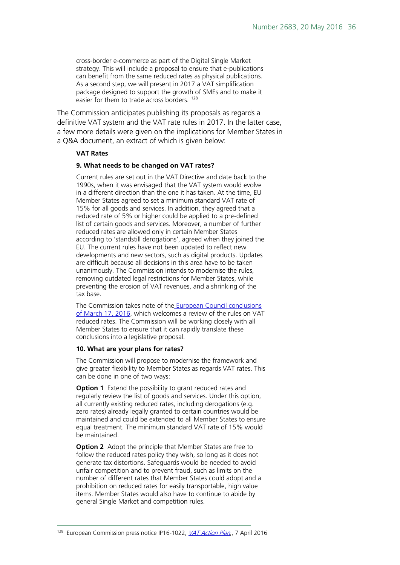cross-border e-commerce as part of the Digital Single Market strategy. This will include a proposal to ensure that e-publications can benefit from the same reduced rates as physical publications. As a second step, we will present in 2017 a VAT simplification package designed to support the growth of SMEs and to make it easier for them to trade across borders. [128](#page-35-0)

The Commission anticipates publishing its proposals as regards a definitive VAT system and the VAT rate rules in 2017. In the latter case, a few more details were given on the implications for Member States in a Q&A document, an extract of which is given below:

#### **VAT Rates**

#### **9. What needs to be changed on VAT rates?**

Current rules are set out in the VAT Directive and date back to the 1990s, when it was envisaged that the VAT system would evolve in a different direction than the one it has taken. At the time, EU Member States agreed to set a minimum standard VAT rate of 15% for all goods and services. In addition, they agreed that a reduced rate of 5% or higher could be applied to a pre-defined list of certain goods and services. Moreover, a number of further reduced rates are allowed only in certain Member States according to 'standstill derogations', agreed when they joined the EU. The current rules have not been updated to reflect new developments and new sectors, such as digital products. Updates are difficult because all decisions in this area have to be taken unanimously. The Commission intends to modernise the rules, removing outdated legal restrictions for Member States, while preventing the erosion of VAT revenues, and a shrinking of the tax base.

The Commission takes note of the [European Council conclusions](http://www.consilium.europa.eu/en/press/press-releases/2016/03/17-euco-intermediate-conclusions/)  [of March 17, 2016,](http://www.consilium.europa.eu/en/press/press-releases/2016/03/17-euco-intermediate-conclusions/) which welcomes a review of the rules on VAT reduced rates. The Commission will be working closely with all Member States to ensure that it can rapidly translate these conclusions into a legislative proposal.

#### **10. What are your plans for rates?**

The Commission will propose to modernise the framework and give greater flexibility to Member States as regards VAT rates. This can be done in one of two ways:

**Option 1** Extend the possibility to grant reduced rates and regularly review the list of goods and services. Under this option, all currently existing reduced rates, including derogations (e.g. zero rates) already legally granted to certain countries would be maintained and could be extended to all Member States to ensure equal treatment. The minimum standard VAT rate of 15% would be maintained.

<span id="page-35-0"></span>**Option 2** Adopt the principle that Member States are free to follow the reduced rates policy they wish, so long as it does not generate tax distortions. Safeguards would be needed to avoid unfair competition and to prevent fraud, such as limits on the number of different rates that Member States could adopt and a prohibition on reduced rates for easily transportable, high value items. Member States would also have to continue to abide by general Single Market and competition rules.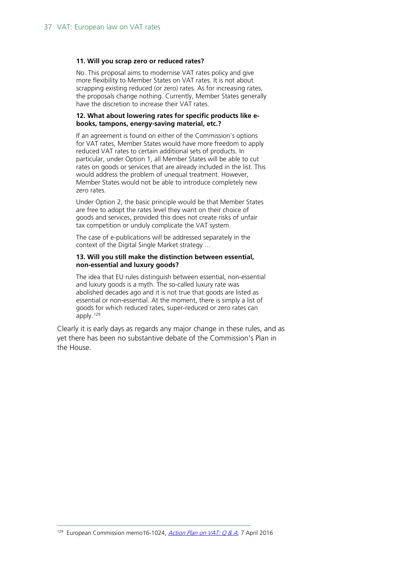#### **11. Will you scrap zero or reduced rates?**

No. This proposal aims to modernise VAT rates policy and give more flexibility to Member States on VAT rates. It is not about scrapping existing reduced (or zero) rates. As for increasing rates, the proposals change nothing. Currently, Member States generally have the discretion to increase their VAT rates.

#### **12. What about lowering rates for specific products like ebooks, tampons, energy-saving material, etc.?**

If an agreement is found on either of the Commission's options for VAT rates, Member States would have more freedom to apply reduced VAT rates to certain additional sets of products. In particular, under Option 1, all Member States will be able to cut rates on goods or services that are already included in the list. This would address the problem of unequal treatment. However, Member States would not be able to introduce completely new zero rates.

Under Option 2, the basic principle would be that Member States are free to adopt the rates level they want on their choice of goods and services, provided this does not create risks of unfair tax competition or unduly complicate the VAT system.

The case of e-publications will be addressed separately in the context of the Digital Single Market strategy …

#### **13. Will you still make the distinction between essential, non-essential and luxury goods?**

The idea that EU rules distinguish between essential, non-essential and luxury goods is a myth. The so-called luxury rate was abolished decades ago and it is not true that goods are listed as essential or non-essential. At the moment, there is simply a list of goods for which reduced rates, super-reduced or zero rates can apply.[129](#page-36-0)

<span id="page-36-0"></span>Clearly it is early days as regards any major change in these rules, and as yet there has been no substantive debate of the Commission's Plan in the House.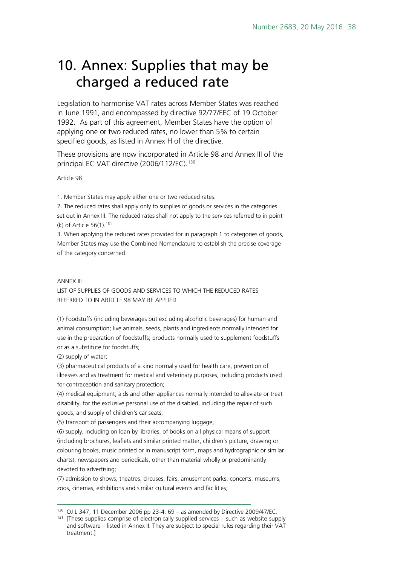### <span id="page-37-0"></span>10. Annex: Supplies that may be charged a reduced rate

Legislation to harmonise VAT rates across Member States was reached in June 1991, and encompassed by directive 92/77/EEC of 19 October 1992. As part of this agreement, Member States have the option of applying one or two reduced rates, no lower than 5% to certain specified goods, as listed in Annex H of the directive.

These provisions are now incorporated in Article 98 and Annex III of the principal EC VAT directive (2006/112/EC).<sup>130</sup>

Article 98

1. Member States may apply either one or two reduced rates.

2. The reduced rates shall apply only to supplies of goods or services in the categories set out in Annex III. The reduced rates shall not apply to the services referred to in point (k) of Article  $56(1).$ <sup>[131](#page-37-2)</sup>

3. When applying the reduced rates provided for in paragraph 1 to categories of goods, Member States may use the Combined Nomenclature to establish the precise coverage of the category concerned.

#### ANNEX III

LIST OF SUPPLIES OF GOODS AND SERVICES TO WHICH THE REDUCED RATES REFERRED TO IN ARTICLE 98 MAY BE APPLIED

(1) Foodstuffs (including beverages but excluding alcoholic beverages) for human and animal consumption; live animals, seeds, plants and ingredients normally intended for use in the preparation of foodstuffs; products normally used to supplement foodstuffs or as a substitute for foodstuffs;

(2) supply of water;

(3) pharmaceutical products of a kind normally used for health care, prevention of illnesses and as treatment for medical and veterinary purposes, including products used for contraception and sanitary protection;

(4) medical equipment, aids and other appliances normally intended to alleviate or treat disability, for the exclusive personal use of the disabled, including the repair of such goods, and supply of children's car seats;

(5) transport of passengers and their accompanying luggage;

(6) supply, including on loan by libraries, of books on all physical means of support (including brochures, leaflets and similar printed matter, children's picture, drawing or colouring books, music printed or in manuscript form, maps and hydrographic or similar charts), newspapers and periodicals, other than material wholly or predominantly devoted to advertising;

(7) admission to shows, theatres, circuses, fairs, amusement parks, concerts, museums, zoos, cinemas, exhibitions and similar cultural events and facilities;

<span id="page-37-1"></span><sup>&</sup>lt;sup>130</sup> OJ L 347, 11 December 2006 pp 23-4, 69 - as amended by Directive 2009/47/EC.

<span id="page-37-2"></span> $131$  [These supplies comprise of electronically supplied services – such as website supply and software – listed in Annex II. They are subject to special rules regarding their VAT treatment.]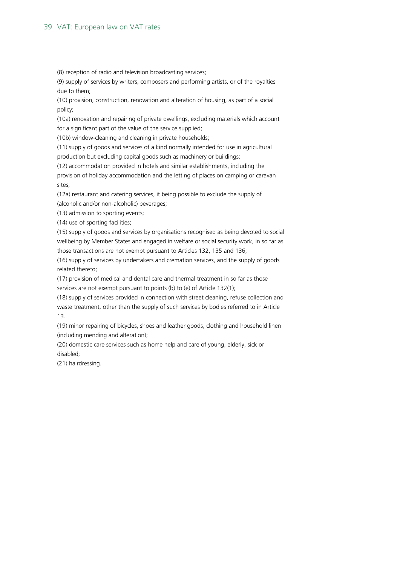#### 39 VAT: European law on VAT rates

(8) reception of radio and television broadcasting services;

(9) supply of services by writers, composers and performing artists, or of the royalties due to them;

(10) provision, construction, renovation and alteration of housing, as part of a social policy;

(10a) renovation and repairing of private dwellings, excluding materials which account for a significant part of the value of the service supplied;

(10b) window-cleaning and cleaning in private households;

(11) supply of goods and services of a kind normally intended for use in agricultural production but excluding capital goods such as machinery or buildings;

(12) accommodation provided in hotels and similar establishments, including the provision of holiday accommodation and the letting of places on camping or caravan sites;

(12a) restaurant and catering services, it being possible to exclude the supply of (alcoholic and/or non-alcoholic) beverages;

(13) admission to sporting events;

(14) use of sporting facilities;

(15) supply of goods and services by organisations recognised as being devoted to social wellbeing by Member States and engaged in welfare or social security work, in so far as those transactions are not exempt pursuant to Articles 132, 135 and 136;

(16) supply of services by undertakers and cremation services, and the supply of goods related thereto;

(17) provision of medical and dental care and thermal treatment in so far as those services are not exempt pursuant to points (b) to (e) of Article 132(1);

(18) supply of services provided in connection with street cleaning, refuse collection and waste treatment, other than the supply of such services by bodies referred to in Article 13.

(19) minor repairing of bicycles, shoes and leather goods, clothing and household linen (including mending and alteration);

(20) domestic care services such as home help and care of young, elderly, sick or disabled;

(21) hairdressing.